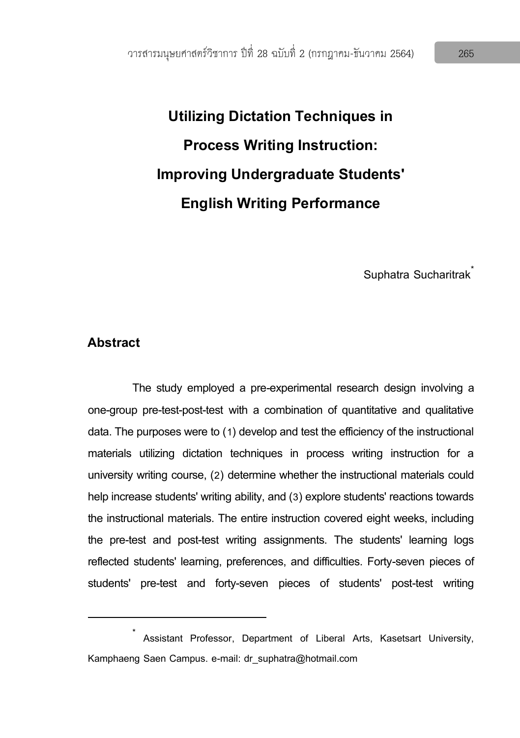**Utilizing Dictation Techniques in Process Writing Instruction: Improving Undergraduate Students' English Writing Performance**

Suphatra Sucharitrak<sup>\*</sup>

## **Abstract**

 $\overline{a}$ 

The study employed a pre-experimental research design involving a one-group pre-test-post-test with a combination of quantitative and qualitative data. The purposes were to (1) develop and test the efficiency of the instructional materials utilizing dictation techniques in process writing instruction for a university writing course, (2) determine whether the instructional materials could help increase students' writing ability, and (3) explore students' reactions towards the instructional materials. The entire instruction covered eight weeks, including the pre-test and post-test writing assignments. The students' learning logs reflected students' learning, preferences, and difficulties. Forty-seven pieces of students' pre-test and forty-seven pieces of students' post-test writing

<sup>\*</sup> Assistant Professor, Department of Liberal Arts, Kasetsart University, Kamphaeng Saen Campus. e-mail: dr\_suphatra@hotmail.com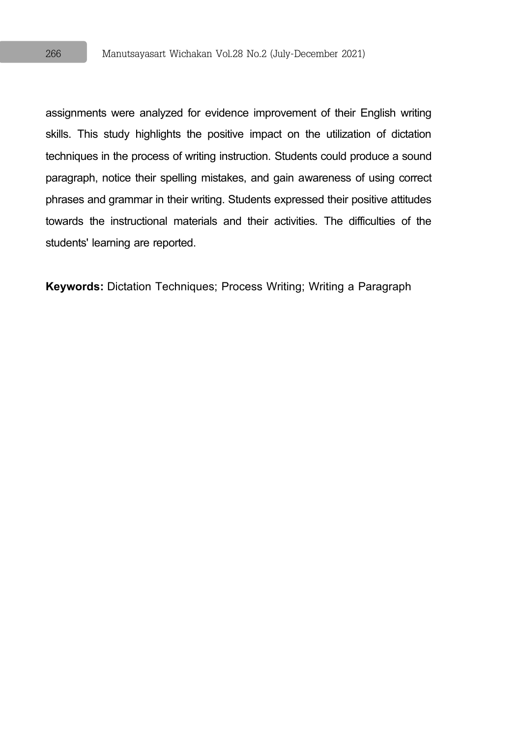assignments were analyzed for evidence improvement of their English writing skills. This study highlights the positive impact on the utilization of dictation techniques in the process of writing instruction. Students could produce a sound paragraph, notice their spelling mistakes, and gain awareness of using correct phrases and grammar in their writing. Students expressed their positive attitudes towards the instructional materials and their activities. The difficulties of the students' learning are reported.

**Keywords:** Dictation Techniques; Process Writing; Writing a Paragraph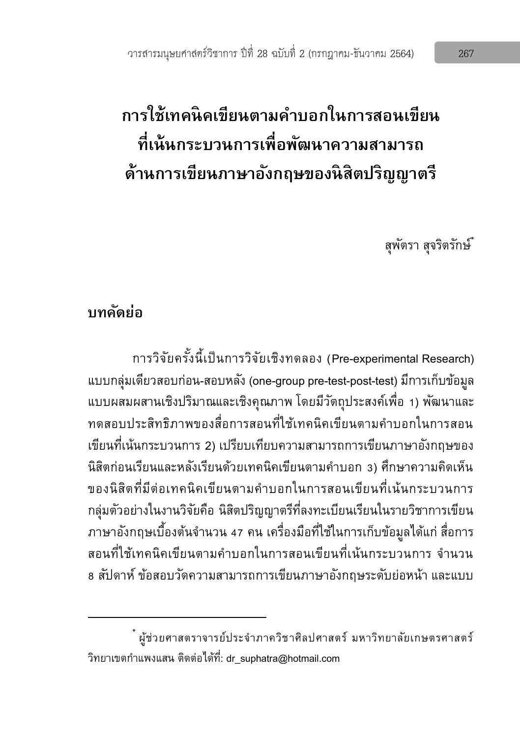# **การใช้เทคนิคเขียนตามคา บอกในการสอนเขียน ที่เน้นกระบวนการเพื่อพัฒนาความสามารถ ด้านการเขียนภาษาองักฤษของนิสิตปริญญาตรี**

สุพัตรา สุจริตรักษ์\*

# **บทคดัย่อ**

 $\overline{a}$ 

การวิจัยครั้งนี้เป็นการวิจัยเชิงทดลอง (Pre-experimental Research) แบบกลุ่มเดียวสอบก่อน-สอบหลัง (one-group pre-test-post-test) มีการเก็บข้อมูล แบบผสมผสานเชิงปริมาณและเชิงคุณภาพ โดยมีวัตถุประสงค์เพื่อ 1) พัฒนาและ ทดสอบประสิทธิภาพของสื่อการสอนที่ใช้เทคนิคเขียนตามคำบอกในการสอน เขียนที่เน้นกระบวนการ 2) เปรียบเทียบความสามารถการเขียนภาษาอังกฤษของ ้นิสิตก่อนเรียนและหลังเรียนด้วยเทคนิคเขียนตามคำบอก 3) ศึกษาความคิดเห็น ของนิสิตที่มีต่อเทคนิคเขียนตามคำบอกในการสอนเขียนที่เน้นกระบวนการ กลุ่มตัวอย่างในงานวิจัยคือ นิสิตปริญญาตรีที่ลงทะเบียนเรียนในรายวิชาการเขียน ภาษาอังกฤษเบื้องต้นจำนวน 47 คน เครื่องมือที่ใช้ในการเก็บข้อมูลได้แก่ สื่อการ สอนที่ใช้เทคนิคเขียนตามคำบอกในการสอนเขียนที่เน้นกระบวนการ จำนวน 8 สัปดาห์ ข้อสอบวัดความสามารถการเขียนภาษาอังกฤษระดับย่อหน้า และแบบ

<sup>\*</sup> ผู้ช่วยศาสตราจารย์ประจ าภาควิชาศิลปศาสตร์ มหาวิทยาลัยเกษตรศาสตร์ วิทยาเขตกำแพงแสน ติดต่อได้ที่: dr\_suphatra@hotmail.com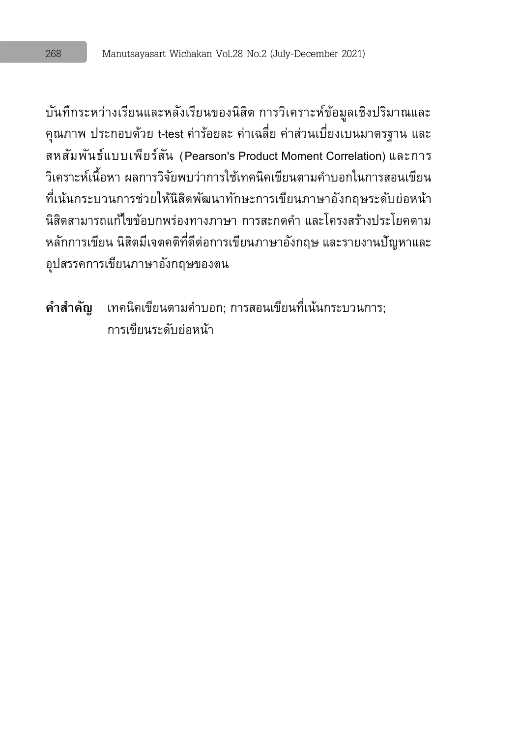บันทึกระหว่างเรียนและหลังเรียนของนิสิต การวิเคราะห์ข้อมูลเชิงปริมาณและ คุณภาพ ประกอบด้วย t-test ค่าร้อยละ ค่าเฉลี่ย ค่าส่วนเบี่ยงเบนมาตรฐาน และ สหสัมพันธ์แบบเพียร์สัน (Pearson's Product Moment Correlation) และการ ้วิเคราะห์เนื้อหา ผลการวิจัยพบว่าการใช้เทคนิคเขียนตามคำบอกในการสอนเขียน ที่เน้นกระบวนการช่วยให้นิสิตพัฒนาทักษะการเขียนภาษาอังกฤษระดับย่อหน้า นิสิตสามารถแก้ไขข้อบกพร่องทางภาษา การสะกดคำ และโครงสร้างประโยคตาม หลักการเขียน นิสิตมีเจตคติที่ดีต่อการเขียนภาษาอังกฤษ และรายงานปัญหาและ อุปสรรคการเขียนภาษาอังกฤษของตน

ี **คำสำคัญ** เทคนิคเขียนตามคำบอก; การสอนเขียนที่เน้นกระบวนการ: การเขียนระดับย่อหน้า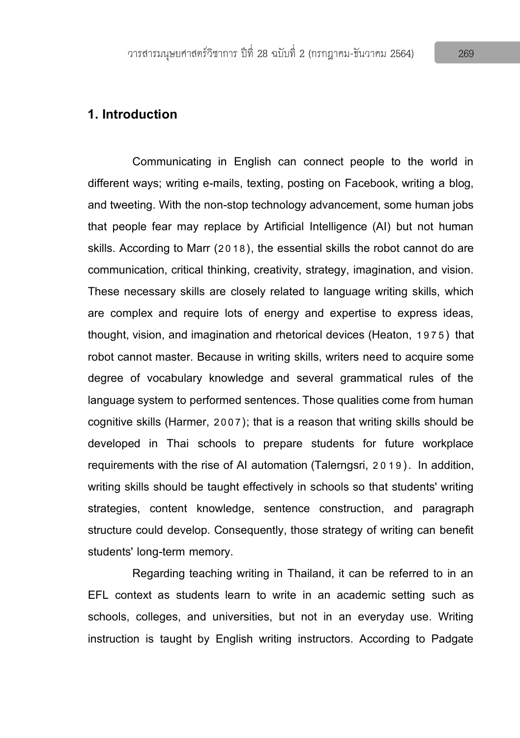# **1. Introduction**

Communicating in English can connect people to the world in different ways; writing e-mails, texting, posting on Facebook, writing a blog, and tweeting. With the non-stop technology advancement, some human jobs that people fear may replace by Artificial Intelligence (AI) but not human skills. According to Marr (2018), the essential skills the robot cannot do are communication, critical thinking, creativity, strategy, imagination, and vision. These necessary skills are closely related to language writing skills, which are complex and require lots of energy and expertise to express ideas, thought, vision, and imagination and rhetorical devices (Heaton, 1975) that robot cannot master. Because in writing skills, writers need to acquire some degree of vocabulary knowledge and several grammatical rules of the language system to performed sentences. Those qualities come from human cognitive skills (Harmer, 2007); that is a reason that writing skills should be developed in Thai schools to prepare students for future workplace requirements with the rise of AI automation (Talerngsri, 2019). In addition, writing skills should be taught effectively in schools so that students' writing strategies, content knowledge, sentence construction, and paragraph structure could develop. Consequently, those strategy of writing can benefit students' long-term memory.

Regarding teaching writing in Thailand, it can be referred to in an EFL context as students learn to write in an academic setting such as schools, colleges, and universities, but not in an everyday use. Writing instruction is taught by English writing instructors. According to Padgate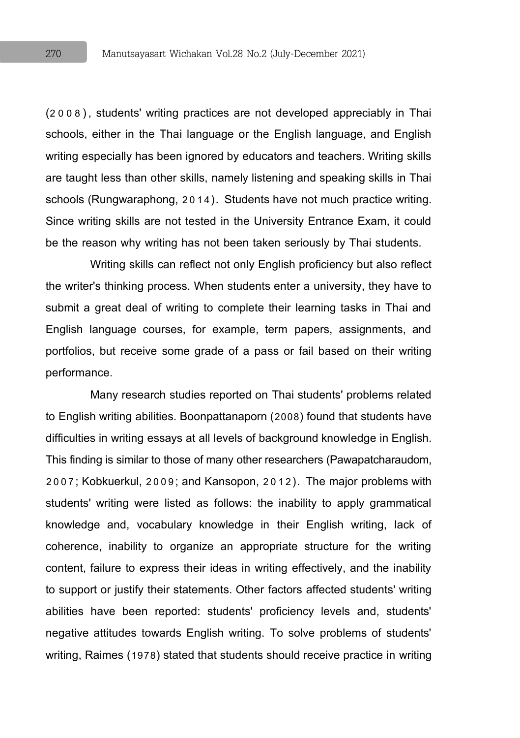(2008), students' writing practices are not developed appreciably in Thai schools, either in the Thai language or the English language, and English writing especially has been ignored by educators and teachers. Writing skills are taught less than other skills, namely listening and speaking skills in Thai schools (Rungwaraphong, 2014). Students have not much practice writing. Since writing skills are not tested in the University Entrance Exam, it could be the reason why writing has not been taken seriously by Thai students.

Writing skills can reflect not only English proficiency but also reflect the writer's thinking process. When students enter a university, they have to submit a great deal of writing to complete their learning tasks in Thai and English language courses, for example, term papers, assignments, and portfolios, but receive some grade of a pass or fail based on their writing performance.

Many research studies reported on Thai students' problems related to English writing abilities. Boonpattanaporn (2008) found that students have difficulties in writing essays at all levels of background knowledge in English. This finding is similar to those of many other researchers (Pawapatcharaudom, 2007; Kobkuerkul, 2009; and Kansopon, 2012). The major problems with students' writing were listed as follows: the inability to apply grammatical knowledge and, vocabulary knowledge in their English writing, lack of coherence, inability to organize an appropriate structure for the writing content, failure to express their ideas in writing effectively, and the inability to support or justify their statements. Other factors affected students' writing abilities have been reported: students' proficiency levels and, students' negative attitudes towards English writing. To solve problems of students' writing, Raimes (1978) stated that students should receive practice in writing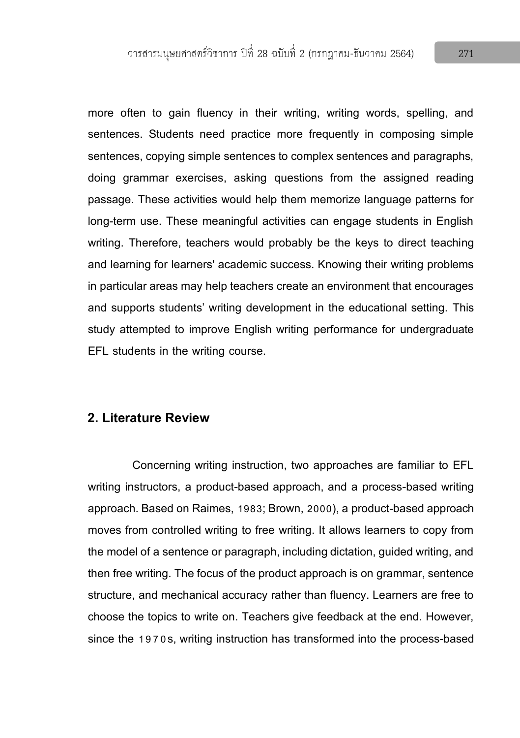more often to gain fluency in their writing, writing words, spelling, and sentences. Students need practice more frequently in composing simple sentences, copying simple sentences to complex sentences and paragraphs, doing grammar exercises, asking questions from the assigned reading passage. These activities would help them memorize language patterns for long-term use. These meaningful activities can engage students in English writing. Therefore, teachers would probably be the keys to direct teaching and learning for learners' academic success. Knowing their writing problems in particular areas may help teachers create an environment that encourages and supports students' writing development in the educational setting. This study attempted to improve English writing performance for undergraduate EFL students in the writing course.

### **2. Literature Review**

Concerning writing instruction, two approaches are familiar to EFL writing instructors, a product-based approach, and a process-based writing approach. Based on Raimes, 1983; Brown, 2000), a product-based approach moves from controlled writing to free writing. It allows learners to copy from the model of a sentence or paragraph, including dictation, guided writing, and then free writing. The focus of the product approach is on grammar, sentence structure, and mechanical accuracy rather than fluency. Learners are free to choose the topics to write on. Teachers give feedback at the end. However, since the 1970s, writing instruction has transformed into the process-based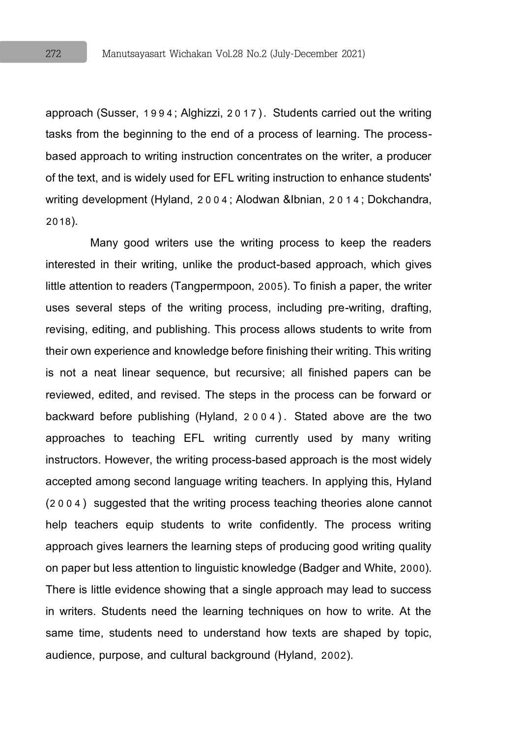approach (Susser, 1994; Alghizzi, 2017). Students carried out the writing tasks from the beginning to the end of a process of learning. The processbased approach to writing instruction concentrates on the writer, a producer of the text, and is widely used for EFL writing instruction to enhance students' writing development (Hyland, 2004; Alodwan &Ibnian, 2014; Dokchandra, 2018).

Many good writers use the writing process to keep the readers interested in their writing, unlike the product-based approach, which gives little attention to readers (Tangpermpoon, 2005). To finish a paper, the writer uses several steps of the writing process, including pre-writing, drafting, revising, editing, and publishing. This process allows students to write from their own experience and knowledge before finishing their writing. This writing is not a neat linear sequence, but recursive; all finished papers can be reviewed, edited, and revised. The steps in the process can be forward or backward before publishing (Hyland, 2004) . Stated above are the two approaches to teaching EFL writing currently used by many writing instructors. However, the writing process-based approach is the most widely accepted among second language writing teachers. In applying this, Hyland (2004) suggested that the writing process teaching theories alone cannot help teachers equip students to write confidently. The process writing approach gives learners the learning steps of producing good writing quality on paper but less attention to linguistic knowledge (Badger and White, 2000). There is little evidence showing that a single approach may lead to success in writers. Students need the learning techniques on how to write. At the same time, students need to understand how texts are shaped by topic, audience, purpose, and cultural background (Hyland, 2002).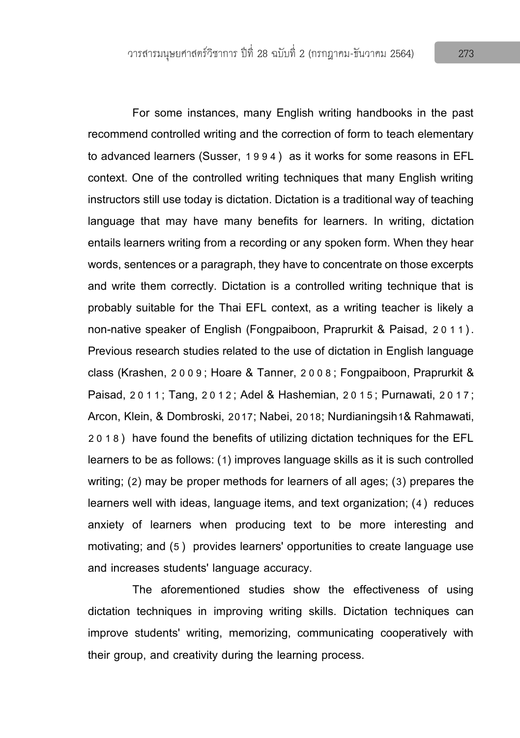For some instances, many English writing handbooks in the past recommend controlled writing and the correction of form to teach elementary to advanced learners (Susser, 1994) as it works for some reasons in EFL context. One of the controlled writing techniques that many English writing instructors still use today is dictation. Dictation is a traditional way of teaching language that may have many benefits for learners. In writing, dictation entails learners writing from a recording or any spoken form. When they hear words, sentences or a paragraph, they have to concentrate on those excerpts and write them correctly. Dictation is a controlled writing technique that is probably suitable for the Thai EFL context, as a writing teacher is likely a non-native speaker of English (Fongpaiboon, Praprurkit & Paisad, 2 0 11). Previous research studies related to the use of dictation in English language class (Krashen, 2009; Hoare & Tanner, 2008; Fongpaiboon, Praprurkit & Paisad, 2011; Tang, 2012; Adel & Hashemian, 2015; Purnawati, 2017; Arcon, Klein, & Dombroski, 2017; Nabei, 2018; Nurdianingsih1& Rahmawati, 2018) have found the benefits of utilizing dictation techniques for the EFL learners to be as follows: (1) improves language skills as it is such controlled writing; (2) may be proper methods for learners of all ages; (3) prepares the learners well with ideas, language items, and text organization; (4) reduces anxiety of learners when producing text to be more interesting and motivating; and (5) provides learners' opportunities to create language use and increases students' language accuracy.

The aforementioned studies show the effectiveness of using dictation techniques in improving writing skills. Dictation techniques can improve students' writing, memorizing, communicating cooperatively with their group, and creativity during the learning process.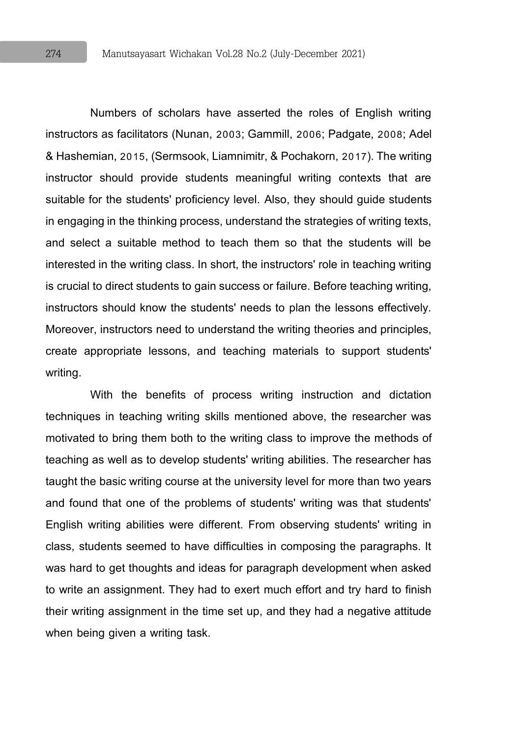Numbers of scholars have asserted the roles of English writing instructors as facilitators (Nunan, 2003; Gammill, 2006; Padgate, 2008; Adel & Hashemian, 2015, (Sermsook, Liamnimitr, & Pochakorn, 2017). The writing instructor should provide students meaningful writing contexts that are suitable for the students' proficiency level. Also, they should guide students in engaging in the thinking process, understand the strategies of writing texts, and select a suitable method to teach them so that the students will be interested in the writing class. In short, the instructors' role in teaching writing is crucial to direct students to gain success or failure. Before teaching writing, instructors should know the students' needs to plan the lessons effectively. Moreover, instructors need to understand the writing theories and principles, create appropriate lessons, and teaching materials to support students' writing.

With the benefits of process writing instruction and dictation techniques in teaching writing skills mentioned above, the researcher was motivated to bring them both to the writing class to improve the methods of teaching as well as to develop students' writing abilities. The researcher has taught the basic writing course at the university level for more than two years and found that one of the problems of students' writing was that students' English writing abilities were different. From observing students' writing in class, students seemed to have difficulties in composing the paragraphs. It was hard to get thoughts and ideas for paragraph development when asked to write an assignment. They had to exert much effort and try hard to finish their writing assignment in the time set up, and they had a negative attitude when being given a writing task.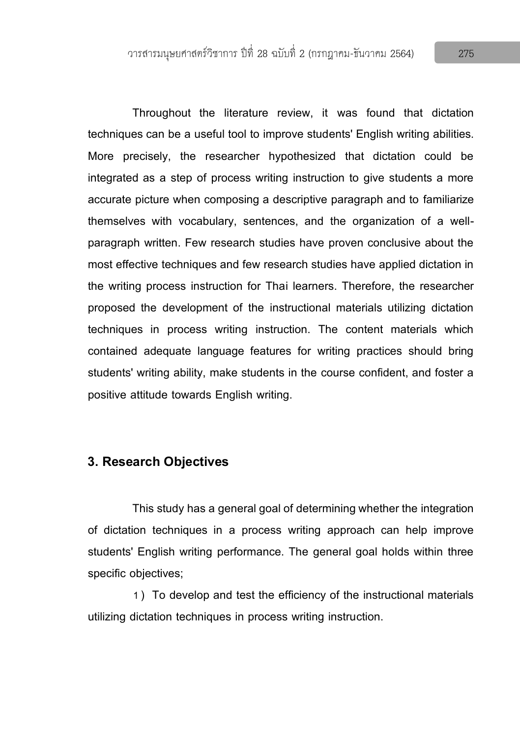Throughout the literature review, it was found that dictation techniques can be a useful tool to improve students' English writing abilities. More precisely, the researcher hypothesized that dictation could be integrated as a step of process writing instruction to give students a more accurate picture when composing a descriptive paragraph and to familiarize themselves with vocabulary, sentences, and the organization of a wellparagraph written. Few research studies have proven conclusive about the most effective techniques and few research studies have applied dictation in the writing process instruction for Thai learners. Therefore, the researcher proposed the development of the instructional materials utilizing dictation techniques in process writing instruction. The content materials which contained adequate language features for writing practices should bring students' writing ability, make students in the course confident, and foster a positive attitude towards English writing.

# **3. Research Objectives**

This study has a general goal of determining whether the integration of dictation techniques in a process writing approach can help improve students' English writing performance. The general goal holds within three specific objectives;

1) To develop and test the efficiency of the instructional materials utilizing dictation techniques in process writing instruction.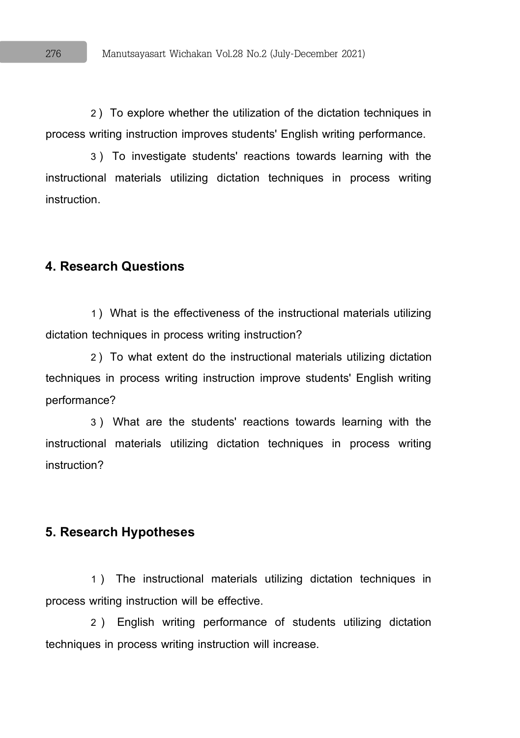2) To explore whether the utilization of the dictation techniques in process writing instruction improves students' English writing performance.

3) To investigate students' reactions towards learning with the instructional materials utilizing dictation techniques in process writing instruction.

### **4. Research Questions**

1) What is the effectiveness of the instructional materials utilizing dictation techniques in process writing instruction?

2) To what extent do the instructional materials utilizing dictation techniques in process writing instruction improve students' English writing performance?

3) What are the students' reactions towards learning with the instructional materials utilizing dictation techniques in process writing instruction?

#### **5. Research Hypotheses**

1 ) The instructional materials utilizing dictation techniques in process writing instruction will be effective.

2 ) English writing performance of students utilizing dictation techniques in process writing instruction will increase.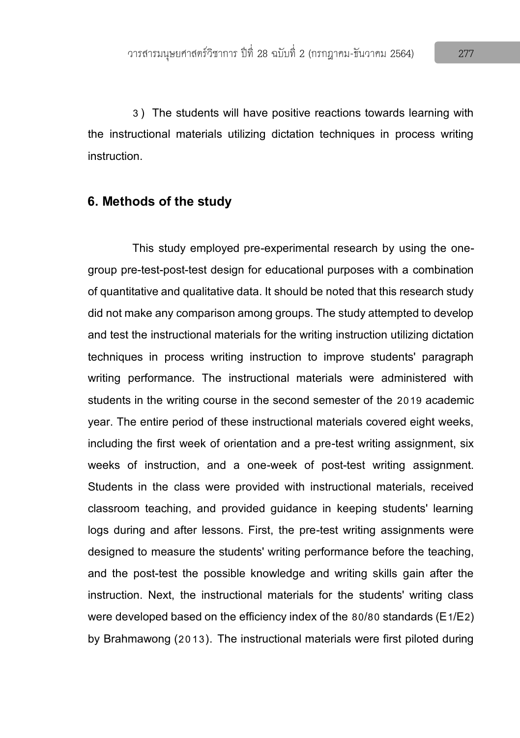3) The students will have positive reactions towards learning with the instructional materials utilizing dictation techniques in process writing instruction.

#### **6. Methods of the study**

This study employed pre-experimental research by using the onegroup pre-test-post-test design for educational purposes with a combination of quantitative and qualitative data. It should be noted that this research study did not make any comparison among groups. The study attempted to develop and test the instructional materials for the writing instruction utilizing dictation techniques in process writing instruction to improve students' paragraph writing performance. The instructional materials were administered with students in the writing course in the second semester of the 2019 academic year. The entire period of these instructional materials covered eight weeks, including the first week of orientation and a pre-test writing assignment, six weeks of instruction, and a one-week of post-test writing assignment. Students in the class were provided with instructional materials, received classroom teaching, and provided guidance in keeping students' learning logs during and after lessons. First, the pre-test writing assignments were designed to measure the students' writing performance before the teaching, and the post-test the possible knowledge and writing skills gain after the instruction. Next, the instructional materials for the students' writing class were developed based on the efficiency index of the 80/80 standards ( $E1/E2$ ) by Brahmawong (2013). The instructional materials were first piloted during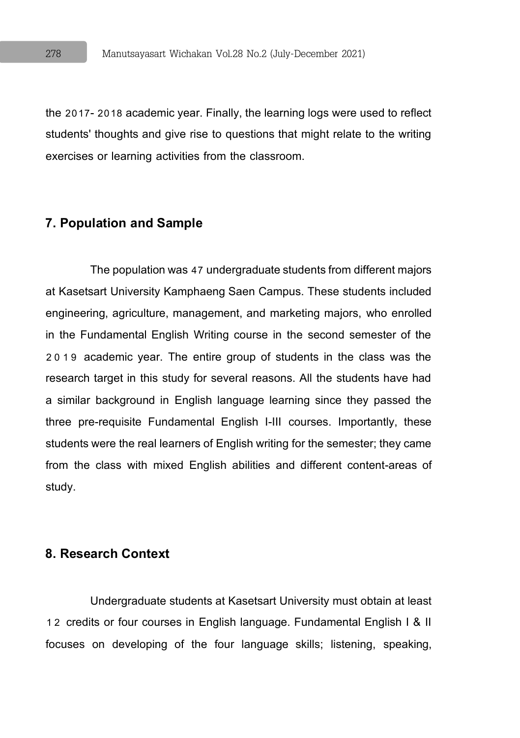the 2017-2018 academic year. Finally, the learning logs were used to reflect students' thoughts and give rise to questions that might relate to the writing exercises or learning activities from the classroom.

# **7. Population and Sample**

The population was 47 undergraduate students from different majors at Kasetsart University Kamphaeng Saen Campus. These students included engineering, agriculture, management, and marketing majors, who enrolled in the Fundamental English Writing course in the second semester of the 2019 academic year. The entire group of students in the class was the research target in this study for several reasons. All the students have had a similar background in English language learning since they passed the three pre-requisite Fundamental English I-III courses. Importantly, these students were the real learners of English writing for the semester; they came from the class with mixed English abilities and different content-areas of study.

# **8. Research Context**

Undergraduate students at Kasetsart University must obtain at least 1 2 credits or four courses in English language. Fundamental English I & II focuses on developing of the four language skills; listening, speaking,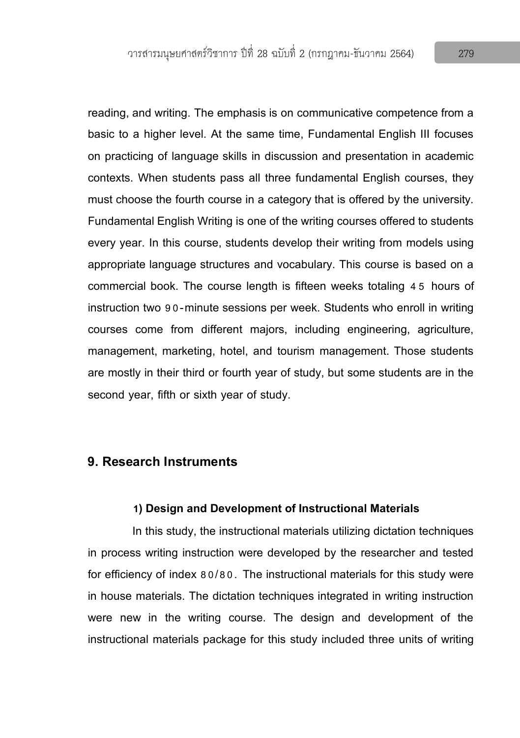reading, and writing. The emphasis is on communicative competence from a basic to a higher level. At the same time, Fundamental English III focuses on practicing of language skills in discussion and presentation in academic contexts. When students pass all three fundamental English courses, they must choose the fourth course in a category that is offered by the university. Fundamental English Writing is one of the writing courses offered to students every year. In this course, students develop their writing from models using appropriate language structures and vocabulary. This course is based on a commercial book. The course length is fifteen weeks totaling 4 5 hours of instruction two 90-minute sessions per week. Students who enroll in writing courses come from different majors, including engineering, agriculture, management, marketing, hotel, and tourism management. Those students are mostly in their third or fourth year of study, but some students are in the second year, fifth or sixth year of study.

### **9. Research Instruments**

#### **1) Design and Development of Instructional Materials**

In this study, the instructional materials utilizing dictation techniques in process writing instruction were developed by the researcher and tested for efficiency of index 80/80. The instructional materials for this study were in house materials. The dictation techniques integrated in writing instruction were new in the writing course. The design and development of the instructional materials package for this study included three units of writing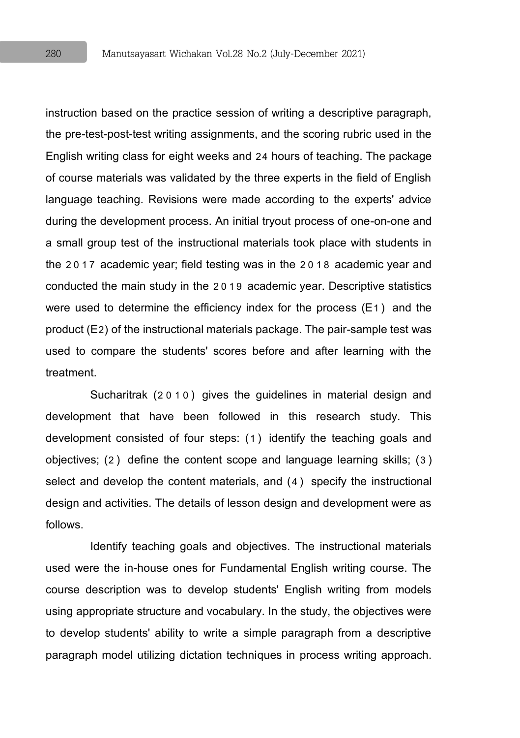instruction based on the practice session of writing a descriptive paragraph, the pre-test-post-test writing assignments, and the scoring rubric used in the English writing class for eight weeks and 24 hours of teaching. The package of course materials was validated by the three experts in the field of English language teaching. Revisions were made according to the experts' advice during the development process. An initial tryout process of one-on-one and a small group test of the instructional materials took place with students in the 2017 academic year; field testing was in the 2018 academic year and conducted the main study in the 2019 academic year. Descriptive statistics were used to determine the efficiency index for the process (E1) and the product (E2) of the instructional materials package. The pair-sample test was used to compare the students' scores before and after learning with the treatment.

Sucharitrak (2010) gives the guidelines in material design and development that have been followed in this research study. This development consisted of four steps: (1) identify the teaching goals and objectives; (2) define the content scope and language learning skills; (3) select and develop the content materials, and (4) specify the instructional design and activities. The details of lesson design and development were as follows.

Identify teaching goals and objectives. The instructional materials used were the in-house ones for Fundamental English writing course. The course description was to develop students' English writing from models using appropriate structure and vocabulary. In the study, the objectives were to develop students' ability to write a simple paragraph from a descriptive paragraph model utilizing dictation techniques in process writing approach.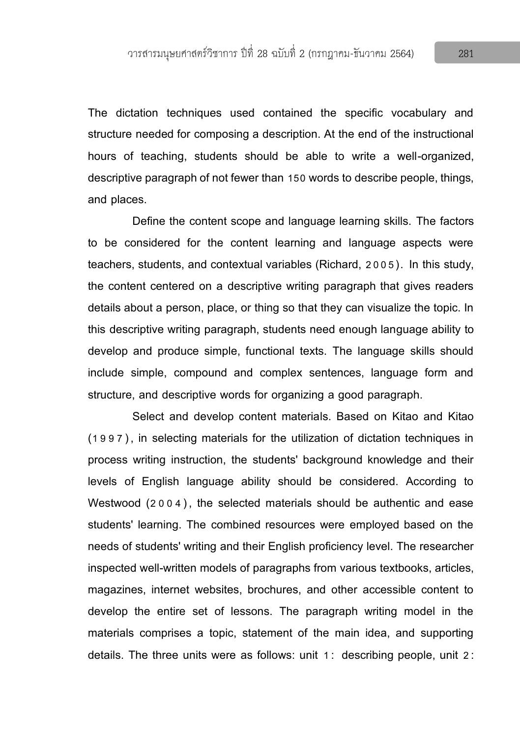The dictation techniques used contained the specific vocabulary and structure needed for composing a description. At the end of the instructional hours of teaching, students should be able to write a well-organized, descriptive paragraph of not fewer than 150 words to describe people, things, and places.

Define the content scope and language learning skills. The factors to be considered for the content learning and language aspects were teachers, students, and contextual variables (Richard, 2005). In this study, the content centered on a descriptive writing paragraph that gives readers details about a person, place, or thing so that they can visualize the topic. In this descriptive writing paragraph, students need enough language ability to develop and produce simple, functional texts. The language skills should include simple, compound and complex sentences, language form and structure, and descriptive words for organizing a good paragraph.

Select and develop content materials. Based on Kitao and Kitao (1997), in selecting materials for the utilization of dictation techniques in process writing instruction, the students' background knowledge and their levels of English language ability should be considered. According to Westwood (2004), the selected materials should be authentic and ease students' learning. The combined resources were employed based on the needs of students' writing and their English proficiency level. The researcher inspected well-written models of paragraphs from various textbooks, articles, magazines, internet websites, brochures, and other accessible content to develop the entire set of lessons. The paragraph writing model in the materials comprises a topic, statement of the main idea, and supporting details. The three units were as follows: unit 1: describing people, unit 2: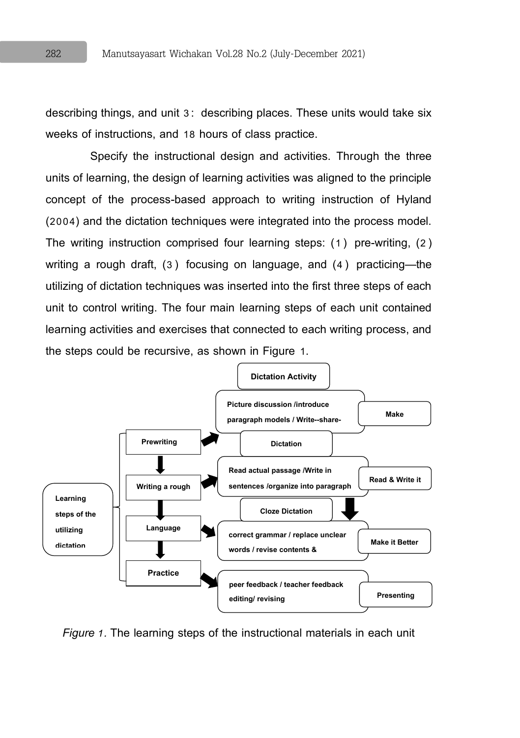describing things, and unit 3: describing places. These units would take six weeks of instructions, and 18 hours of class practice.

Specify the instructional design and activities. Through the three units of learning, the design of learning activities was aligned to the principle concept of the process-based approach to writing instruction of Hyland (2004) and the dictation techniques were integrated into the process model. The writing instruction comprised four learning steps: (1) pre-writing, (2) writing a rough draft, (3) focusing on language, and (4) practicing—the utilizing of dictation techniques was inserted into the first three steps of each unit to control writing. The four main learning steps of each unit contained learning activities and exercises that connected to each writing process, and the steps could be recursive, as shown in Figure 1.



*Figure 1.*The learning steps of the instructional materials in each unit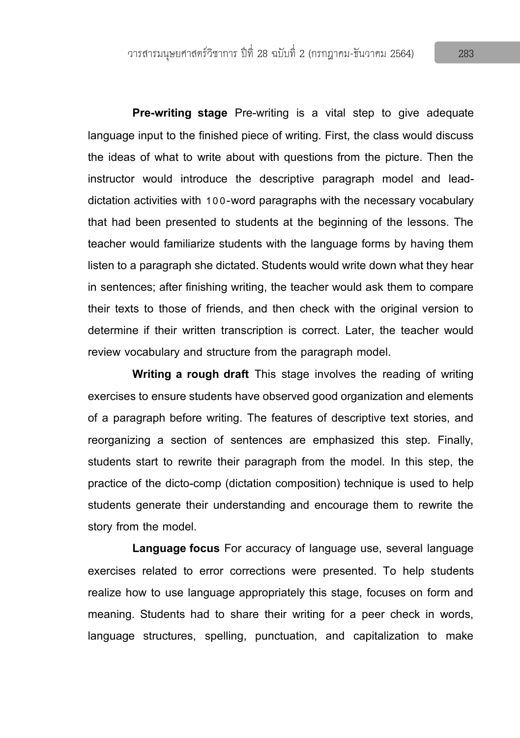**Pre-writing stage** Pre-writing is a vital step to give adequate language input to the finished piece of writing. First, the class would discuss the ideas of what to write about with questions from the picture. Then the instructor would introduce the descriptive paragraph model and leaddictation activities with 100-word paragraphs with the necessary vocabulary that had been presented to students at the beginning of the lessons. The teacher would familiarize students with the language forms by having them listen to a paragraph she dictated. Students would write down what they hear in sentences; after finishing writing, the teacher would ask them to compare their texts to those of friends, and then check with the original version to determine if their written transcription is correct. Later, the teacher would review vocabulary and structure from the paragraph model.

**Writing a rough draft** This stage involves the reading of writing exercises to ensure students have observed good organization and elements of a paragraph before writing. The features of descriptive text stories, and reorganizing a section of sentences are emphasized this step. Finally, students start to rewrite their paragraph from the model. In this step, the practice of the dicto-comp (dictation composition) technique is used to help students generate their understanding and encourage them to rewrite the story from the model.

**Language focus** For accuracy of language use, several language exercises related to error corrections were presented. To help students realize how to use language appropriately this stage, focuses on form and meaning. Students had to share their writing for a peer check in words, language structures, spelling, punctuation, and capitalization to make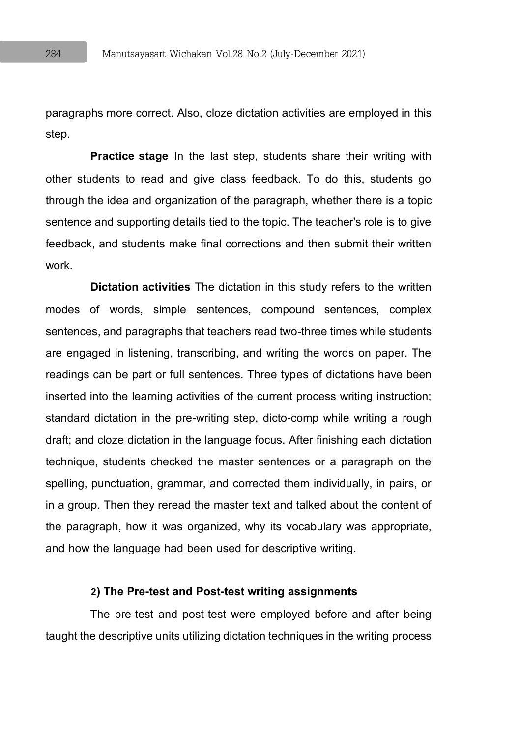paragraphs more correct. Also, cloze dictation activities are employed in this step.

**Practice stage** In the last step, students share their writing with other students to read and give class feedback. To do this, students go through the idea and organization of the paragraph, whether there is a topic sentence and supporting details tied to the topic. The teacher's role is to give feedback, and students make final corrections and then submit their written work.

**Dictation activities** The dictation in this study refers to the written modes of words, simple sentences, compound sentences, complex sentences, and paragraphs that teachers read two-three times while students are engaged in listening, transcribing, and writing the words on paper. The readings can be part or full sentences. Three types of dictations have been inserted into the learning activities of the current process writing instruction; standard dictation in the pre-writing step, dicto-comp while writing a rough draft; and cloze dictation in the language focus. After finishing each dictation technique, students checked the master sentences or a paragraph on the spelling, punctuation, grammar, and corrected them individually, in pairs, or in a group. Then they reread the master text and talked about the content of the paragraph, how it was organized, why its vocabulary was appropriate, and how the language had been used for descriptive writing.

### **2)The Pre-test and Post-test writing assignments**

The pre-test and post-test were employed before and after being taught the descriptive units utilizing dictation techniques in the writing process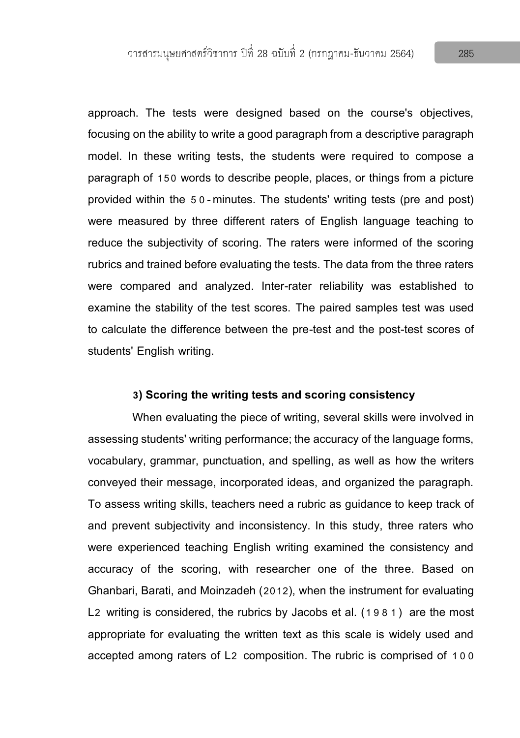approach. The tests were designed based on the course's objectives, focusing on the ability to write a good paragraph from a descriptive paragraph model. In these writing tests, the students were required to compose a paragraph of 150 words to describe people, places, or things from a picture provided within the 5 0-minutes. The students' writing tests (pre and post) were measured by three different raters of English language teaching to reduce the subjectivity of scoring. The raters were informed of the scoring rubrics and trained before evaluating the tests. The data from the three raters were compared and analyzed. Inter-rater reliability was established to examine the stability of the test scores. The paired samples test was used to calculate the difference between the pre-test and the post-test scores of students' English writing.

#### **3) Scoring the writing tests and scoring consistency**

When evaluating the piece of writing, several skills were involved in assessing students' writing performance; the accuracy of the language forms, vocabulary, grammar, punctuation, and spelling, as well as how the writers conveyed their message, incorporated ideas, and organized the paragraph. To assess writing skills, teachers need a rubric as guidance to keep track of and prevent subjectivity and inconsistency. In this study, three raters who were experienced teaching English writing examined the consistency and accuracy of the scoring, with researcher one of the three. Based on Ghanbari, Barati, and Moinzadeh (2012), when the instrument for evaluating L2 writing is considered, the rubrics by Jacobs et al. (1981) are the most appropriate for evaluating the written text as this scale is widely used and accepted among raters of L2 composition. The rubric is comprised of 100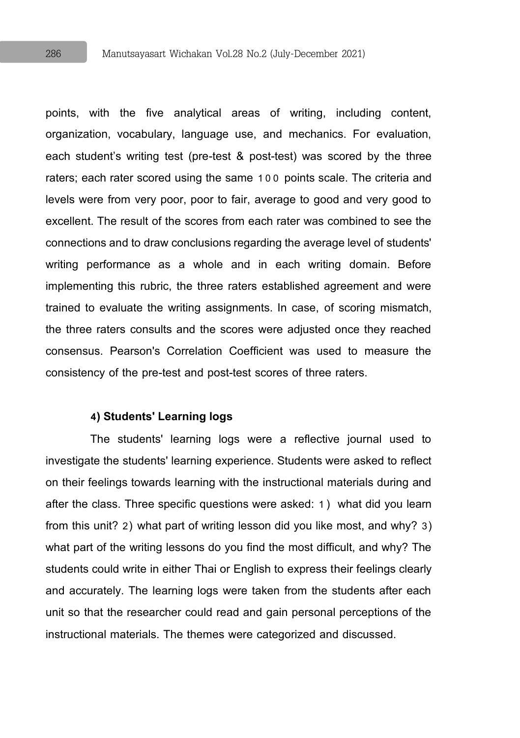points, with the five analytical areas of writing, including content, organization, vocabulary, language use, and mechanics. For evaluation, each student's writing test (pre-test & post-test) was scored by the three raters; each rater scored using the same 100 points scale. The criteria and levels were from very poor, poor to fair, average to good and very good to excellent. The result of the scores from each rater was combined to see the connections and to draw conclusions regarding the average level of students' writing performance as a whole and in each writing domain. Before implementing this rubric, the three raters established agreement and were trained to evaluate the writing assignments. In case, of scoring mismatch, the three raters consults and the scores were adjusted once they reached consensus. Pearson's Correlation Coefficient was used to measure the consistency of the pre-test and post-test scores of three raters.

#### **4) Students' Learning logs**

The students' learning logs were a reflective journal used to investigate the students' learning experience. Students were asked to reflect on their feelings towards learning with the instructional materials during and after the class. Three specific questions were asked: 1) what did you learn from this unit? 2) what part of writing lesson did you like most, and why? 3) what part of the writing lessons do you find the most difficult, and why? The students could write in either Thai or English to express their feelings clearly and accurately. The learning logs were taken from the students after each unit so that the researcher could read and gain personal perceptions of the instructional materials. The themes were categorized and discussed.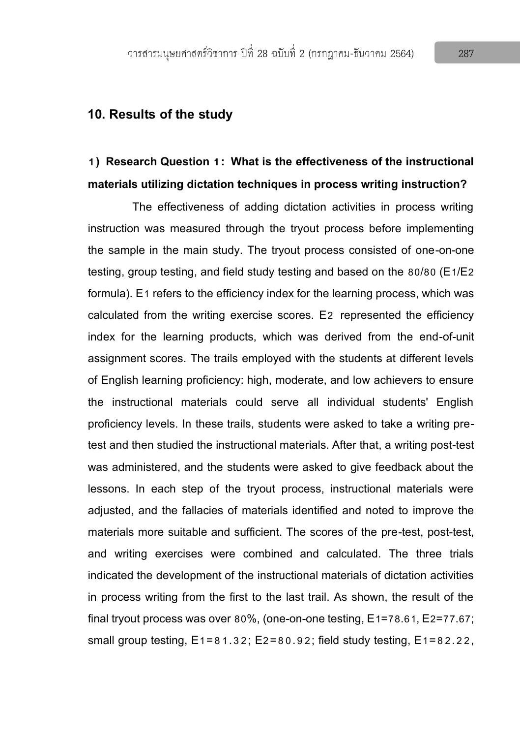### **10. Results of the study**

# **1) Research Question 1: What is the effectiveness of the instructional materials utilizing dictation techniques in process writing instruction?**

The effectiveness of adding dictation activities in process writing instruction was measured through the tryout process before implementing the sample in the main study. The tryout process consisted of one-on-one testing, group testing, and field study testing and based on the 80/80 (E1/E2 formula). E1 refers to the efficiency index for the learning process, which was calculated from the writing exercise scores. E2 represented the efficiency index for the learning products, which was derived from the end-of-unit assignment scores. The trails employed with the students at different levels of English learning proficiency: high, moderate, and low achievers to ensure the instructional materials could serve all individual students' English proficiency levels. In these trails, students were asked to take a writing pretest and then studied the instructional materials. After that, a writing post-test was administered, and the students were asked to give feedback about the lessons. In each step of the tryout process, instructional materials were adjusted, and the fallacies of materials identified and noted to improve the materials more suitable and sufficient. The scores of the pre-test, post-test, and writing exercises were combined and calculated. The three trials indicated the development of the instructional materials of dictation activities in process writing from the first to the last trail. As shown, the result of the final tryout process was over 80%, (one-on-one testing, E1=78.61, E2=77.67; small group testing,  $E1=81.32$ ;  $E2=80.92$ ; field study testing,  $E1=82.22$ .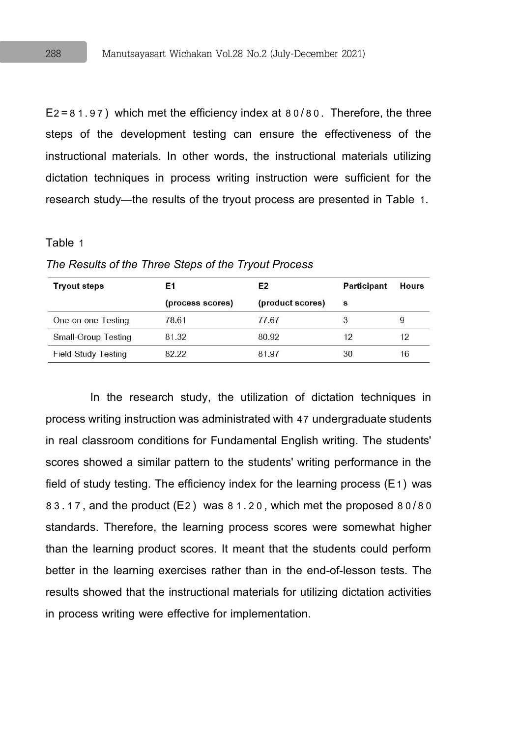E2=81.97) which met the efficiency index at 80/80. Therefore, the three steps of the development testing can ensure the effectiveness of the instructional materials. In other words, the instructional materials utilizing dictation techniques in process writing instruction were sufficient for the research study—the results of the tryout process are presented in Table 1.

#### Table 1

| <b>Tryout steps</b>        | Ε1               | E <sub>2</sub>   | <b>Participant</b> | <b>Hours</b> |
|----------------------------|------------------|------------------|--------------------|--------------|
|                            | (process scores) | (product scores) | s                  |              |
| One-on-one Testing         | 78.61            | 77.67            |                    |              |
| <b>Small-Group Testing</b> | 81.32            | 80.92            | 12                 | 12           |
| <b>Field Study Testing</b> | 82.22            | 81.97            | 30                 | 16           |

*The Results of the Three Steps of the Tryout Process*

In the research study, the utilization of dictation techniques in process writing instruction was administrated with 47 undergraduate students in real classroom conditions for Fundamental English writing. The students' scores showed a similar pattern to the students' writing performance in the field of study testing. The efficiency index for the learning process  $(E1)$  was 83.17, and the product (E2) was 81.20, which met the proposed 80/80 standards. Therefore, the learning process scores were somewhat higher than the learning product scores. It meant that the students could perform better in the learning exercises rather than in the end-of-lesson tests. The results showed that the instructional materials for utilizing dictation activities in process writing were effective for implementation.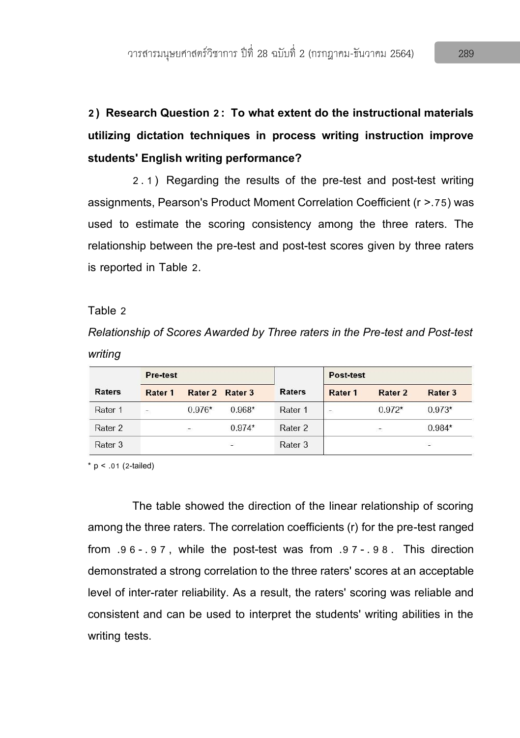# **2) Research Question 2: To what extent do the instructional materials utilizing dictation techniques in process writing instruction improve students' English writing performance?**

2.1) Regarding the results of the pre-test and post-test writing assignments, Pearson's Product Moment Correlation Coefficient (r >.75) was used to estimate the scoring consistency among the three raters. The relationship between the pre-test and post-test scores given by three raters is reported in Table 2.

#### Table 2

*Relationship of Scores Awarded by Three raters in the Pre-test and Post-test writing*

|               | Pre-test |          |          |               | Post-test |          |          |
|---------------|----------|----------|----------|---------------|-----------|----------|----------|
| <b>Raters</b> | Rater 1  | Rater 2  | Rater 3  | <b>Raters</b> | Rater 1   | Rater 2  | Rater 3  |
| Rater 1       | C.       | $0.976*$ | $0.968*$ | Rater 1       | ÷         | $0.972*$ | $0.973*$ |
| Rater 2       |          | CO.      | $0.974*$ | Rater 2       |           | 27       | $0.984*$ |
| Rater 3       |          |          | ÷        | Rater 3       |           |          | ×        |

 $*$  p < .01 (2-tailed)

The table showed the direction of the linear relationship of scoring among the three raters. The correlation coefficients (r) for the pre-test ranged from .9 6- .9 7, while the post-test was from .9 7- .9 8. This direction demonstrated a strong correlation to the three raters' scores at an acceptable level of inter-rater reliability. As a result, the raters' scoring was reliable and consistent and can be used to interpret the students' writing abilities in the writing tests.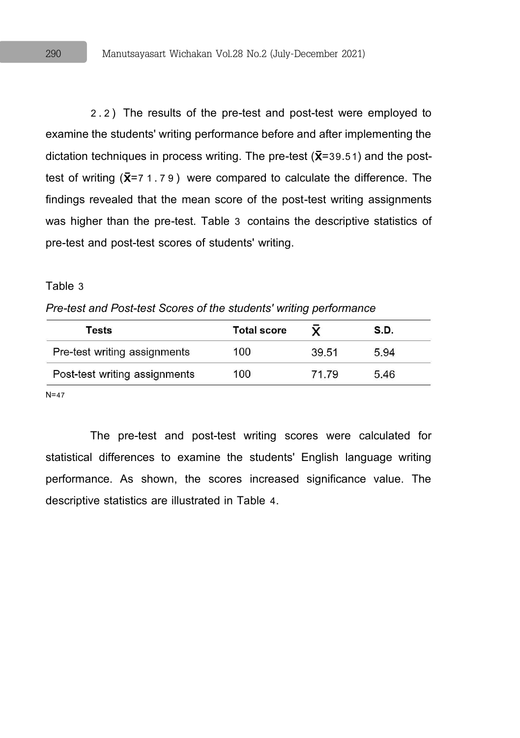2.2) The results of the pre-test and post-test were employed to examine the students' writing performance before and after implementing the dictation techniques in process writing. The pre-test  $({\overline{\mathbf{X}}}=39.51)$  and the posttest of writing  $(\bar{x} = 71.79)$  were compared to calculate the difference. The findings revealed that the mean score of the post-test writing assignments was higher than the pre-test. Table 3 contains the descriptive statistics of pre-test and post-test scores of students' writing.

#### Table 3

*Pre-test and Post-test Scores of the students' writing performance*

| Tests                         | <b>Total score</b> |       | S.D. |
|-------------------------------|--------------------|-------|------|
| Pre-test writing assignments  | 100                | 39.51 | 5.94 |
| Post-test writing assignments | 100                | 71.79 | 5.46 |

N=47

The pre-test and post-test writing scores were calculated for statistical differences to examine the students' English language writing performance. As shown, the scores increased significance value. The descriptive statistics are illustrated in Table 4.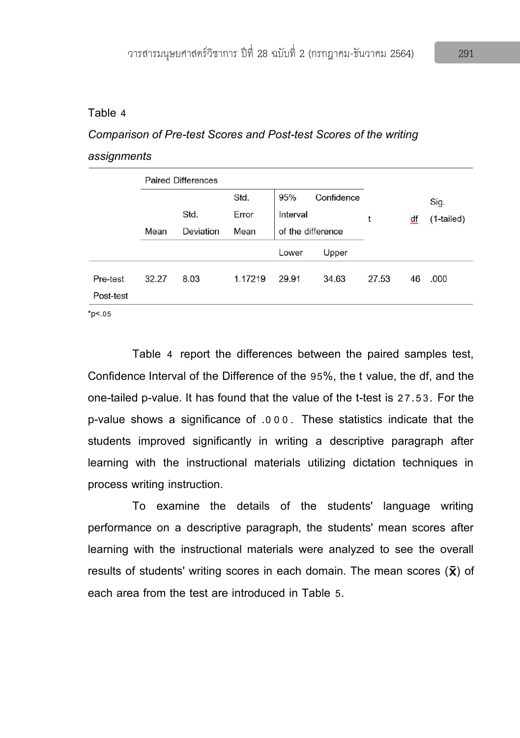#### Table 4

# *Comparison of Pre-test Scores and Post-test Scores of the writing assignments*

|           | <b>Paired Differences</b> |           |         |                   |            |       |    |              |
|-----------|---------------------------|-----------|---------|-------------------|------------|-------|----|--------------|
|           |                           |           | Std.    | 95%               | Confidence |       |    | Sig.         |
|           |                           | Std.      | Error   | Interval          |            | t     | df | $(1-tailed)$ |
|           | Mean                      | Deviation | Mean    | of the difference |            |       |    |              |
|           |                           |           |         | Lower             | Upper      |       |    |              |
| Pre-test  | 32.27                     | 8.03      | 1.17219 | 29.91             | 34.63      | 27.53 | 46 | .000         |
| Post-test |                           |           |         |                   |            |       |    |              |
| .         |                           |           |         |                   |            |       |    |              |

 $*p<.05$ 

Table 4 report the differences between the paired samples test, Confidence Interval of the Difference of the 95%, the t value, the df, and the one-tailed p-value. It has found that the value of the t-test is 27.53. For the p-value shows a significance of .000. These statistics indicate that the students improved significantly in writing a descriptive paragraph after learning with the instructional materials utilizing dictation techniques in process writing instruction.

To examine the details of the students' language writing performance on a descriptive paragraph, the students' mean scores after learning with the instructional materials were analyzed to see the overall results of students' writing scores in each domain. The mean scores  $(\bar{x})$  of each area from the test are introduced in Table 5.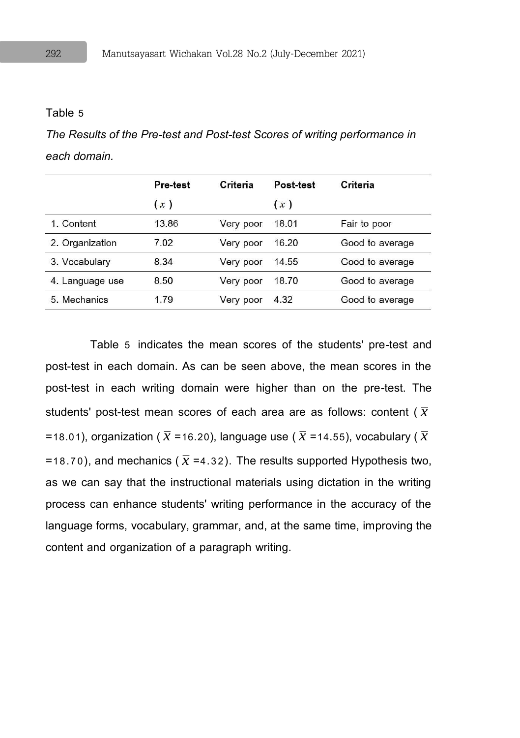#### Table 5

*The Results of the Pre-test and Post-test Scores of writing performance in each domain.*

|                 | Pre-test    | Criteria  | Post-test   | Criteria        |
|-----------------|-------------|-----------|-------------|-----------------|
|                 | $(\bar{x})$ |           | $(\bar{x})$ |                 |
| 1. Content      | 13.86       | Very poor | 18.01       | Fair to poor    |
| 2. Organization | 7.02        | Very poor | 16.20       | Good to average |
| 3. Vocabulary   | 8.34        | Very poor | 14.55       | Good to average |
| 4. Language use | 8.50        | Very poor | 18.70       | Good to average |
| 5. Mechanics    | 1.79        | Very poor | 4.32        | Good to average |

Table 5 indicates the mean scores of the students' pre-test and post-test in each domain. As can be seen above, the mean scores in the post-test in each writing domain were higher than on the pre-test. The students' post-test mean scores of each area are as follows: content (  $\overline{\overline{x}}$ =18.01), organization (  $\overline{\overline{x}}$  =16.20), language use (  $\overline{\overline{x}}$  =14.55), vocabulary (  $\overline{\overline{x}}$ =18.70), and mechanics (  $\overline{\chi}$  =4.32). The results supported Hypothesis two, as we can say that the instructional materials using dictation in the writing process can enhance students' writing performance in the accuracy of the language forms, vocabulary, grammar, and, at the same time, improving the content and organization of a paragraph writing.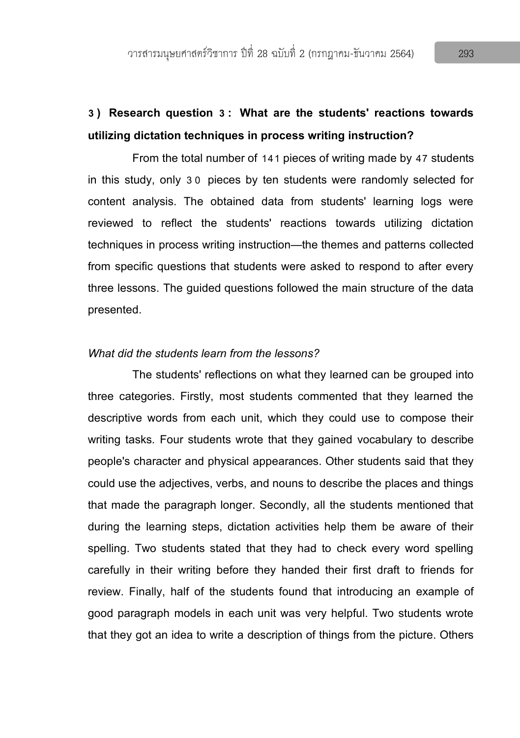# **3) Research question 3: What are the students' reactions towards utilizing dictation techniques in process writing instruction?**

From the total number of 141 pieces of writing made by 47 students in this study, only 3 0 pieces by ten students were randomly selected for content analysis. The obtained data from students' learning logs were reviewed to reflect the students' reactions towards utilizing dictation techniques in process writing instruction—the themes and patterns collected from specific questions that students were asked to respond to after every three lessons. The guided questions followed the main structure of the data presented.

#### *What did the students learn from the lessons?*

The students' reflections on what they learned can be grouped into three categories. Firstly, most students commented that they learned the descriptive words from each unit, which they could use to compose their writing tasks. Four students wrote that they gained vocabulary to describe people's character and physical appearances. Other students said that they could use the adjectives, verbs, and nouns to describe the places and things that made the paragraph longer. Secondly, all the students mentioned that during the learning steps, dictation activities help them be aware of their spelling. Two students stated that they had to check every word spelling carefully in their writing before they handed their first draft to friends for review. Finally, half of the students found that introducing an example of good paragraph models in each unit was very helpful. Two students wrote that they got an idea to write a description of things from the picture. Others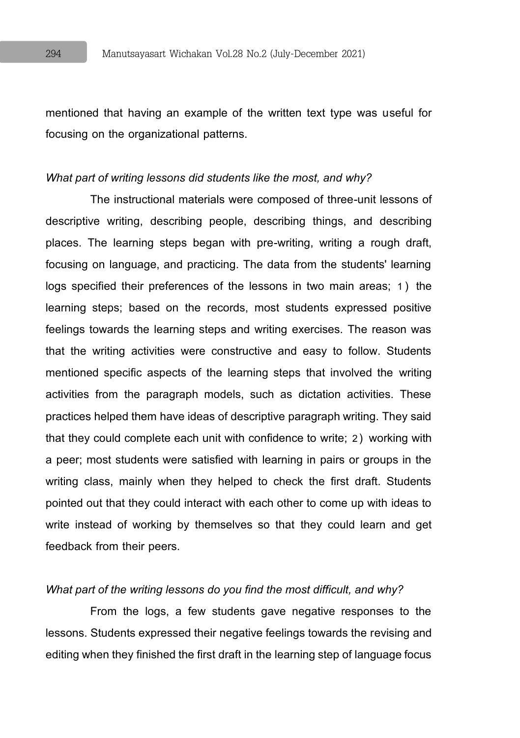mentioned that having an example of the written text type was useful for focusing on the organizational patterns.

#### *What part of writing lessons did students like the most, and why?*

The instructional materials were composed of three-unit lessons of descriptive writing, describing people, describing things, and describing places. The learning steps began with pre-writing, writing a rough draft, focusing on language, and practicing. The data from the students' learning logs specified their preferences of the lessons in two main areas; 1) the learning steps; based on the records, most students expressed positive feelings towards the learning steps and writing exercises. The reason was that the writing activities were constructive and easy to follow. Students mentioned specific aspects of the learning steps that involved the writing activities from the paragraph models, such as dictation activities. These practices helped them have ideas of descriptive paragraph writing. They said that they could complete each unit with confidence to write; 2) working with a peer; most students were satisfied with learning in pairs or groups in the writing class, mainly when they helped to check the first draft. Students pointed out that they could interact with each other to come up with ideas to write instead of working by themselves so that they could learn and get feedback from their peers.

#### *What part of the writing lessons do you find the most difficult, and why?*

From the logs, a few students gave negative responses to the lessons. Students expressed their negative feelings towards the revising and editing when they finished the first draft in the learning step of language focus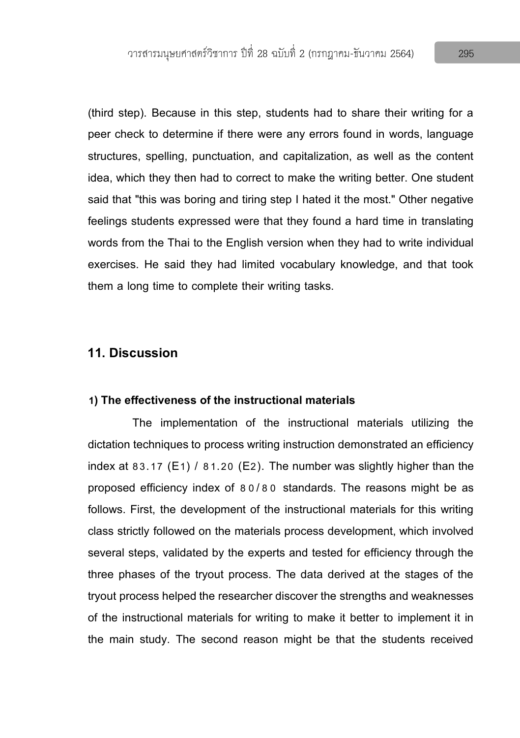(third step). Because in this step, students had to share their writing for a peer check to determine if there were any errors found in words, language structures, spelling, punctuation, and capitalization, as well as the content idea, which they then had to correct to make the writing better. One student said that "this was boring and tiring step I hated it the most." Other negative feelings students expressed were that they found a hard time in translating words from the Thai to the English version when they had to write individual exercises. He said they had limited vocabulary knowledge, and that took them a long time to complete their writing tasks.

# **11. Discussion**

#### **1)The effectiveness of the instructional materials**

The implementation of the instructional materials utilizing the dictation techniques to process writing instruction demonstrated an efficiency index at 83.17 (E1) / 81.20 (E2). The number was slightly higher than the proposed efficiency index of 8 0/8 0 standards. The reasons might be as follows. First, the development of the instructional materials for this writing class strictly followed on the materials process development, which involved several steps, validated by the experts and tested for efficiency through the three phases of the tryout process. The data derived at the stages of the tryout process helped the researcher discover the strengths and weaknesses of the instructional materials for writing to make it better to implement it in the main study. The second reason might be that the students received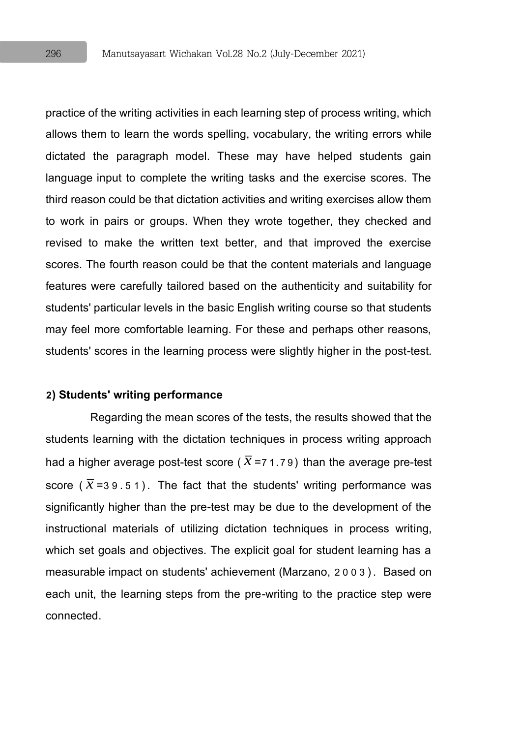practice of the writing activities in each learning step of process writing, which allows them to learn the words spelling, vocabulary, the writing errors while dictated the paragraph model. These may have helped students gain language input to complete the writing tasks and the exercise scores. The third reason could be that dictation activities and writing exercises allow them to work in pairs or groups. When they wrote together, they checked and revised to make the written text better, and that improved the exercise scores. The fourth reason could be that the content materials and language features were carefully tailored based on the authenticity and suitability for students' particular levels in the basic English writing course so that students may feel more comfortable learning. For these and perhaps other reasons, students' scores in the learning process were slightly higher in the post-test.

#### **2) Students' writing performance**

Regarding the mean scores of the tests, the results showed that the students learning with the dictation techniques in process writing approach had a higher average post-test score (  $\overline{x}$  =7 1.79) than the average pre-test score ( $\bar{x}$ =39.51). The fact that the students' writing performance was significantly higher than the pre-test may be due to the development of the instructional materials of utilizing dictation techniques in process writing, which set goals and objectives. The explicit goal for student learning has a measurable impact on students' achievement (Marzano, 2003). Based on each unit, the learning steps from the pre-writing to the practice step were connected.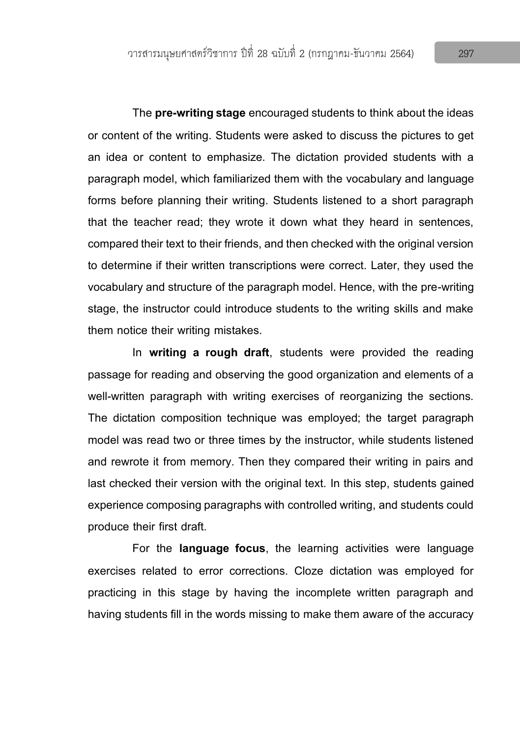The **pre-writing stage** encouraged students to think about the ideas or content of the writing. Students were asked to discuss the pictures to get an idea or content to emphasize. The dictation provided students with a paragraph model, which familiarized them with the vocabulary and language forms before planning their writing. Students listened to a short paragraph that the teacher read; they wrote it down what they heard in sentences, compared their text to their friends, and then checked with the original version to determine if their written transcriptions were correct. Later, they used the vocabulary and structure of the paragraph model. Hence, with the pre-writing stage, the instructor could introduce students to the writing skills and make them notice their writing mistakes.

In **writing a rough draft**, students were provided the reading passage for reading and observing the good organization and elements of a well-written paragraph with writing exercises of reorganizing the sections. The dictation composition technique was employed; the target paragraph model was read two or three times by the instructor, while students listened and rewrote it from memory. Then they compared their writing in pairs and last checked their version with the original text. In this step, students gained experience composing paragraphs with controlled writing, and students could produce their first draft.

For the **language focus**, the learning activities were language exercises related to error corrections. Cloze dictation was employed for practicing in this stage by having the incomplete written paragraph and having students fill in the words missing to make them aware of the accuracy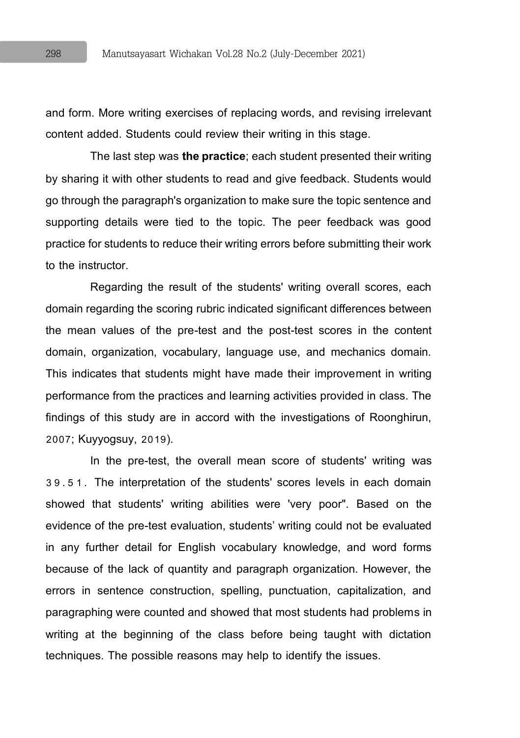and form. More writing exercises of replacing words, and revising irrelevant content added. Students could review their writing in this stage.

The last step was **the practice**; each student presented their writing by sharing it with other students to read and give feedback. Students would go through the paragraph's organization to make sure the topic sentence and supporting details were tied to the topic. The peer feedback was good practice for students to reduce their writing errors before submitting their work to the instructor.

Regarding the result of the students' writing overall scores, each domain regarding the scoring rubric indicated significant differences between the mean values of the pre-test and the post-test scores in the content domain, organization, vocabulary, language use, and mechanics domain. This indicates that students might have made their improvement in writing performance from the practices and learning activities provided in class. The findings of this study are in accord with the investigations of Roonghirun, 2007; Kuyyogsuy, 2019).

In the pre-test, the overall mean score of students' writing was 3 9.5 1. The interpretation of the students' scores levels in each domain showed that students' writing abilities were 'very poor". Based on the evidence of the pre-test evaluation, students' writing could not be evaluated in any further detail for English vocabulary knowledge, and word forms because of the lack of quantity and paragraph organization. However, the errors in sentence construction, spelling, punctuation, capitalization, and paragraphing were counted and showed that most students had problems in writing at the beginning of the class before being taught with dictation techniques. The possible reasons may help to identify the issues.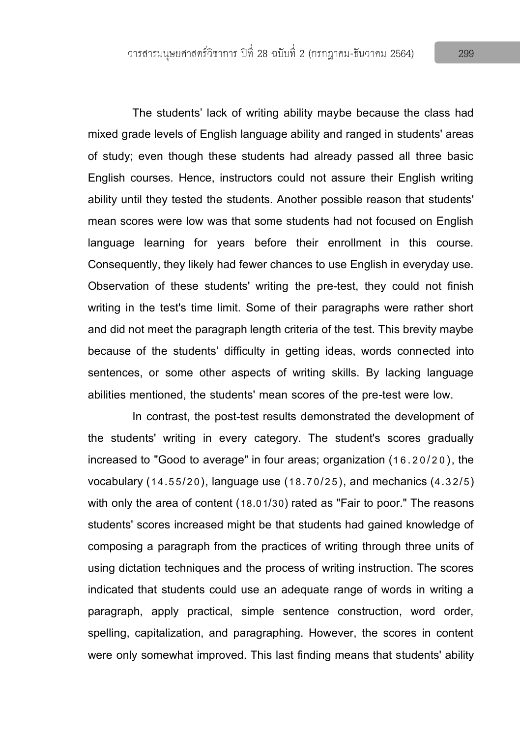The students' lack of writing ability maybe because the class had mixed grade levels of English language ability and ranged in students' areas of study; even though these students had already passed all three basic English courses. Hence, instructors could not assure their English writing ability until they tested the students. Another possible reason that students' mean scores were low was that some students had not focused on English language learning for years before their enrollment in this course. Consequently, they likely had fewer chances to use English in everyday use. Observation of these students' writing the pre-test, they could not finish writing in the test's time limit. Some of their paragraphs were rather short and did not meet the paragraph length criteria of the test. This brevity maybe because of the students' difficulty in getting ideas, words connected into sentences, or some other aspects of writing skills. By lacking language abilities mentioned, the students' mean scores of the pre-test were low.

In contrast, the post-test results demonstrated the development of the students' writing in every category. The student's scores gradually increased to "Good to average" in four areas; organization (16.20/20), the vocabulary (14.55/20), language use (18.70/25), and mechanics (4.32/5) with only the area of content (18.01/30) rated as "Fair to poor." The reasons students' scores increased might be that students had gained knowledge of composing a paragraph from the practices of writing through three units of using dictation techniques and the process of writing instruction. The scores indicated that students could use an adequate range of words in writing a paragraph, apply practical, simple sentence construction, word order, spelling, capitalization, and paragraphing. However, the scores in content were only somewhat improved. This last finding means that students' ability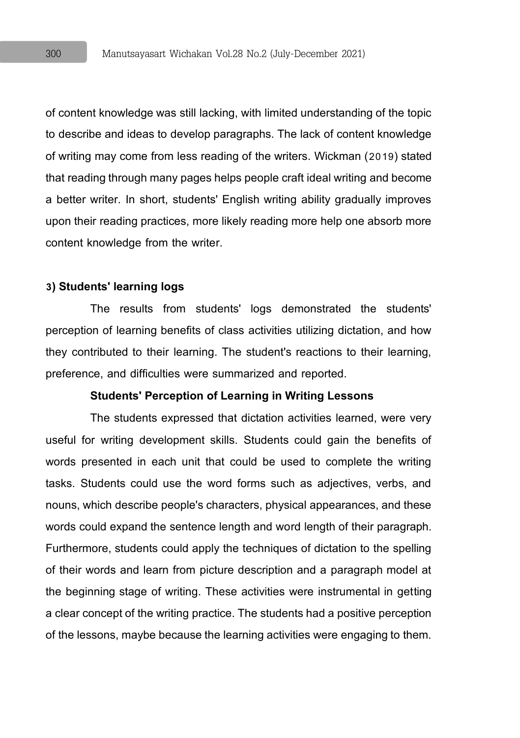of content knowledge was still lacking, with limited understanding of the topic to describe and ideas to develop paragraphs. The lack of content knowledge of writing may come from less reading of the writers. Wickman (2019) stated that reading through many pages helps peoplecraft ideal writing and become a better writer. In short, students' English writing ability gradually improves upon their reading practices, more likely reading more help one absorb more content knowledge from the writer.

#### **3) Students' learning logs**

The results from students' logs demonstrated the students' perception of learning benefits of class activities utilizing dictation, and how they contributed to their learning. The student's reactions to their learning, preference, and difficulties were summarized and reported.

#### **Students' Perception of Learning in Writing Lessons**

The students expressed that dictation activities learned, were very useful for writing development skills. Students could gain the benefits of words presented in each unit that could be used to complete the writing tasks. Students could use the word forms such as adjectives, verbs, and nouns, which describe people's characters, physical appearances, and these words could expand the sentence length and word length of their paragraph. Furthermore, students could apply the techniques of dictation to the spelling of their words and learn from picture description and a paragraph model at the beginning stage of writing. These activities were instrumental in getting a clear concept of the writing practice. The students had a positive perception of the lessons, maybe because the learning activities were engaging to them.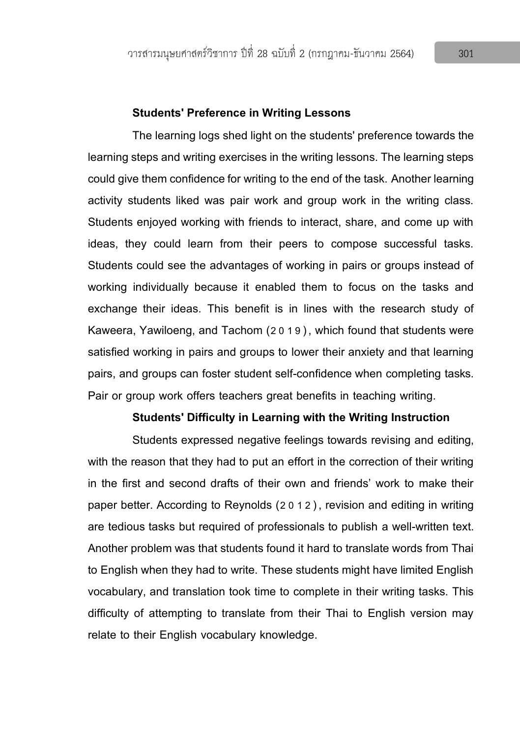#### **Students' Preference in Writing Lessons**

The learning logs shed light on the students' preference towards the learning steps and writing exercises in the writing lessons. The learning steps could give them confidence for writing to the end of the task. Another learning activity students liked was pair work and group work in the writing class. Students enjoyed working with friends to interact, share, and come up with ideas, they could learn from their peers to compose successful tasks. Students could see the advantages of working in pairs or groups instead of working individually because it enabled them to focus on the tasks and exchange their ideas. This benefit is in lines with the research study of Kaweera, Yawiloeng, and Tachom (2019), which found that students were satisfied working in pairs and groups to lower their anxiety and that learning pairs, and groups can foster student self-confidence when completing tasks. Pair or group work offers teachers great benefits in teaching writing.

#### **Students' Difficulty in Learning with the Writing Instruction**

Students expressed negative feelings towards revising and editing, with the reason that they had to put an effort in the correction of their writing in the first and second drafts of their own and friends' work to make their paper better. According to Reynolds (2012), revision and editing in writing are tedious tasks but required of professionals to publish a well-written text. Another problem was that students found it hard to translate words from Thai to English when they had to write. These students might have limited English vocabulary, and translation took time to complete in their writing tasks. This difficulty of attempting to translate from their Thai to English version may relate to their English vocabulary knowledge.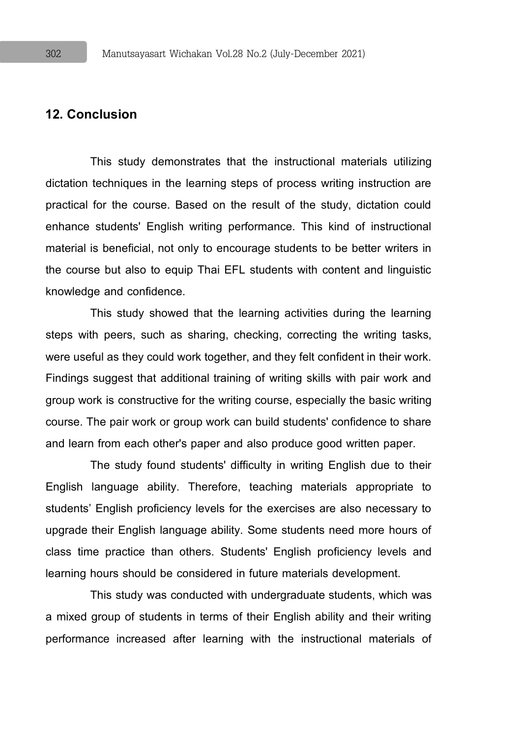# **12. Conclusion**

This study demonstrates that the instructional materials utilizing dictation techniques in the learning steps of process writing instruction are practical for the course. Based on the result of the study, dictation could enhance students' English writing performance. This kind of instructional material is beneficial, not only to encourage students to be better writers in the course but also to equip Thai EFL students with content and linguistic knowledge and confidence.

This study showed that the learning activities during the learning steps with peers, such as sharing, checking, correcting the writing tasks, were useful as they could work together, and they felt confident in their work. Findings suggest that additional training of writing skills with pair work and group work is constructive for the writing course, especially the basic writing course. The pair work or group work can build students' confidence to share and learn from each other's paper and also produce good written paper.

The study found students' difficulty in writing English due to their English language ability. Therefore, teaching materials appropriate to students' English proficiency levels for the exercises are also necessary to upgrade their English language ability. Some students need more hours of class time practice than others. Students' English proficiency levels and learning hours should be considered in future materials development.

This study was conducted with undergraduate students, which was a mixed group of students in terms of their English ability and their writing performance increased after learning with the instructional materials of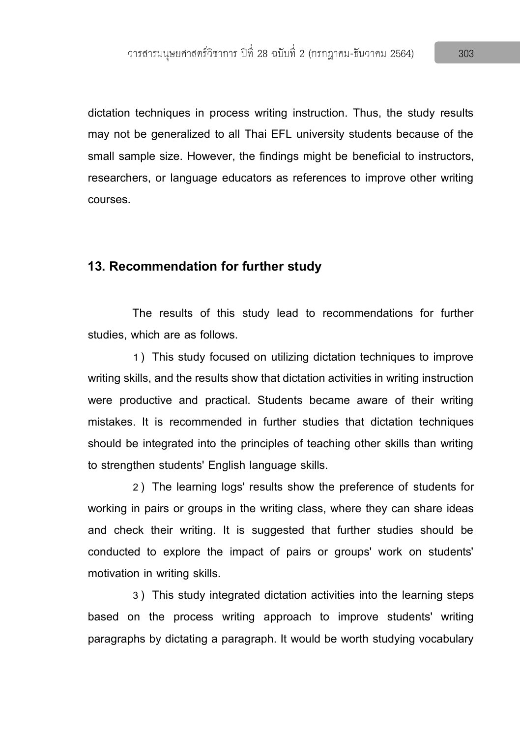dictation techniques in process writing instruction. Thus, the study results may not be generalized to all Thai EFL university students because of the small sample size. However, the findings might be beneficial to instructors, researchers, or language educators as references to improve other writing courses.

### **13. Recommendation for further study**

The results of this study lead to recommendations for further studies, which are as follows.

1) This study focused on utilizing dictation techniques to improve writing skills, and the results show that dictation activities in writing instruction were productive and practical. Students became aware of their writing mistakes. It is recommended in further studies that dictation techniques should be integrated into the principles of teaching other skills than writing to strengthen students' English language skills.

2) The learning logs' results show the preference of students for working in pairs or groups in the writing class, where they can share ideas and check their writing. It is suggested that further studies should be conducted to explore the impact of pairs or groups' work on students' motivation in writing skills.

3) This study integrated dictation activities into the learning steps based on the process writing approach to improve students' writing paragraphs by dictating a paragraph. It would be worth studying vocabulary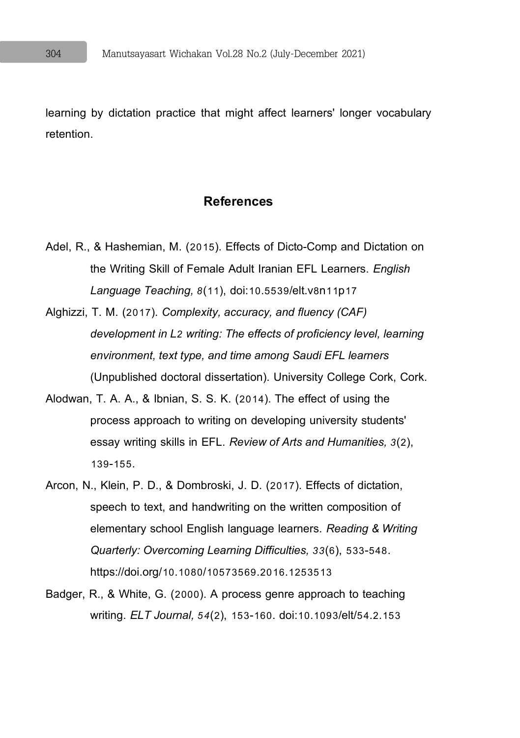learning by dictation practice that might affect learners' longer vocabulary retention.

#### **References**

- Adel, R., & Hashemian, M. (2015). Effects of Dicto-Comp and Dictation on the Writing Skill of Female Adult Iranian EFL Learners. *English Language Teaching, 8*(11), doi:10.5539/elt.v8n11p17
- Alghizzi, T. M. (2017). *Complexity, accuracy, and fluency (CAF) development in L2 writing: The effects of proficiency level, learning environment, text type, and time among Saudi EFL learners* (Unpublished doctoral dissertation). University College Cork, Cork.
- Alodwan, T. A. A., & Ibnian, S. S. K. (2014). The effect of using the process approach to writing on developing university students' essay writing skills in EFL. *Review of Arts and Humanities, 3*(2), 139-155.
- Arcon, N., Klein, P. D., & Dombroski, J. D. (2017). Effects of dictation, speech to text, and handwriting on the written composition of elementary school English language learners. *Reading & Writing Quarterly: Overcoming Learning Difficulties, 33*(6), 533-548. https://doi.org/10.1080/10573569.2016.1253513
- Badger, R., & White, G. (2000). A process genre approach to teaching writing. *ELT Journal, 54*(2), 153-160. doi:10.1093/elt/54.2.153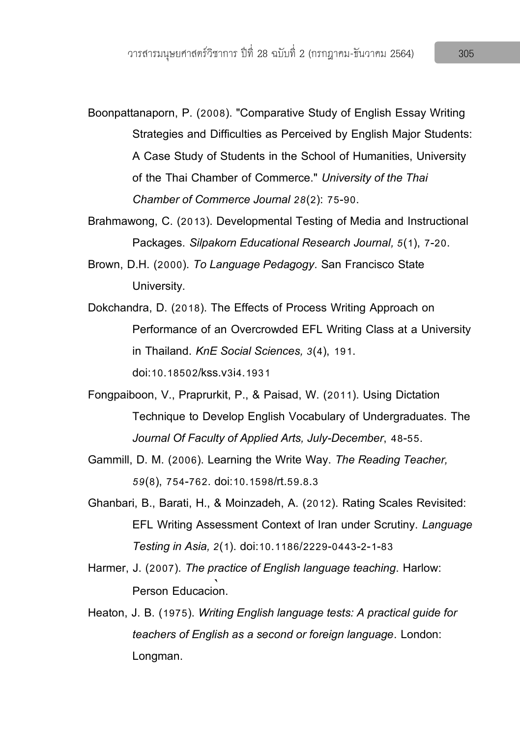- Boonpattanaporn, P. (2008). "Comparative Study of English Essay Writing Strategies and Difficulties as Perceived by English Major Students: A Case Study of Students in the School of Humanities, University of the Thai Chamber of Commerce." *University of the Thai Chamber of Commerce Journal 28*(2): 75-90.
- Brahmawong, C. (2013). Developmental Testing of Media and Instructional Packages. *Silpakorn Educational Research Journal, 5*(1), 7-20.
- Brown, D.H. (2000). *To Language Pedagogy*. San Francisco State University.
- Dokchandra, D. (2018). The Effects of Process Writing Approach on Performance of an Overcrowded EFL Writing Class at a University in Thailand. *KnE Social Sciences, 3*(4), 191. doi:10.18502/kss.v3i4.1931
- Fongpaiboon, V., Praprurkit, P., & Paisad, W. (2011). Using Dictation Technique to Develop English Vocabulary of Undergraduates. The *Journal Of Faculty of Applied Arts, July-December*, 48-55.
- Gammill, D. M. (2006). Learning the Write Way. *The Reading Teacher, 59*(8), 754-762. doi:10.1598/rt.59.8.3
- Ghanbari, B., Barati, H., & Moinzadeh, A. (2012). Rating Scales Revisited: EFL Writing Assessment Context of Iran under Scrutiny. *Language Testing in Asia, 2*(1). doi:10.1186/2229-0443-2-1-83
- Harmer, J. (2007). *The practice of English language teaching*. Harlow: Person Educacion.
- Heaton, J. B. (1975). *Writing English language tests: A practical guide for teachers of English as a second or foreign language*. London: Longman.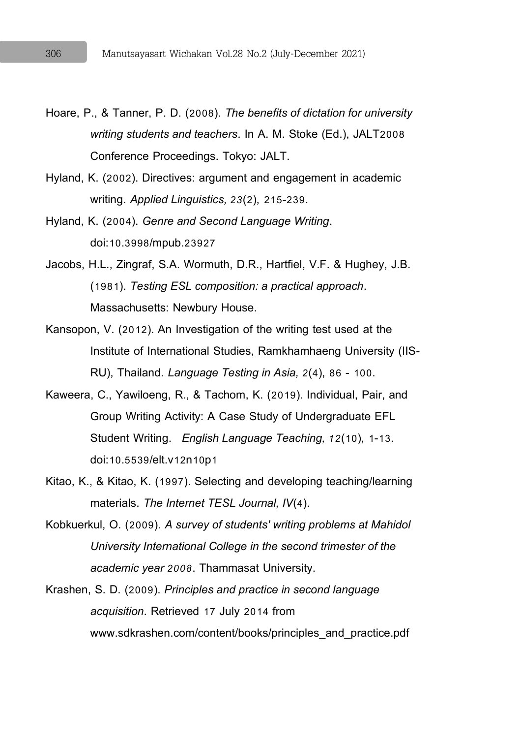- Hoare, P., & Tanner, P. D. (2008). *The benefits of dictation for university writing students and teachers*. In A. M. Stoke (Ed.), JALT2008 Conference Proceedings. Tokyo: JALT.
- Hyland, K. (2002). Directives: argument and engagement in academic writing. *Applied Linguistics, 23*(2), 215-239.
- Hyland, K. (2004). *Genre and Second Language Writing*. doi:10.3998/mpub.23927
- Jacobs, H.L., Zingraf, S.A. Wormuth, D.R., Hartfiel, V.F. & Hughey, J.B. (1981). *Testing ESL composition: a practical approach*. Massachusetts: Newbury House.
- Kansopon, V. (2012). An Investigation of the writing test used at the Institute of International Studies, Ramkhamhaeng University (IIS-RU), Thailand. *Language Testing in Asia, 2*(4), 86 - 100.
- Kaweera, C., Yawiloeng, R., & Tachom, K. (2019). Individual, Pair, and Group Writing Activity: A Case Study of Undergraduate EFL Student Writing. *English Language Teaching, 12*(10), 1-13. doi:10.5539/elt.v12n10p1
- Kitao, K., & Kitao, K. (1997). Selecting and developing teaching/learning materials. *The Internet TESL Journal, IV*(4).
- Kobkuerkul, O. (2009). *A survey of students' writing problems at Mahidol University International College in the second trimester of the academic year 2008*. Thammasat University.
- Krashen, S. D. (2009). *Principles and practice in second language acquisition*. Retrieved 17 July 2014 from www.sdkrashen.com/content/books/principles\_and\_practice.pdf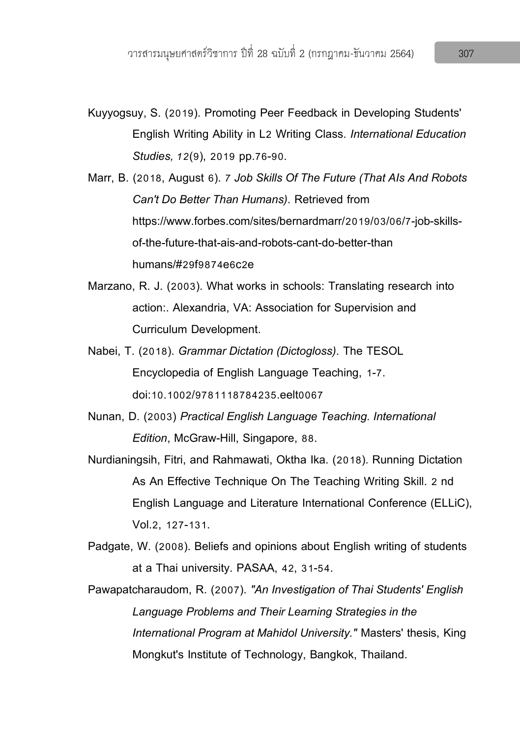- Kuyyogsuy, S. (2019). Promoting Peer Feedback in Developing Students' English Writing Ability in L2 Writing Class. *International Education Studies, 12*(9), 2019 pp.76-90.
- Marr, B. (2018, August 6). *7Job Skills Of The Future (That AIs And Robots Can't Do Better Than Humans)*. Retrieved from https://www.forbes.com/sites/bernardmarr/2019/03/06/7-job-skillsof-the-future-that-ais-and-robots-cant-do-better-than humans/#29f9874e6c2e
- Marzano, R. J. (2003). What works in schools: Translating research into action:. Alexandria, VA: Association for Supervision and Curriculum Development.
- Nabei, T. (2018). *Grammar Dictation (Dictogloss)*. The TESOL Encyclopedia of English Language Teaching, 1-7. doi:10.1002/9781118784235.eelt0067
- Nunan, D. (2003) *Practical English Language Teaching. International Edition*, McGraw-Hill, Singapore, 88.
- Nurdianingsih, Fitri, and Rahmawati, Oktha Ika. (2018). Running Dictation As An Effective Technique On The Teaching Writing Skill. 2 nd English Language and Literature International Conference (ELLiC), Vol.2, 127-131.
- Padgate, W. (2008). Beliefs and opinions about English writing of students at a Thai university. PASAA, 42, 31-54.
- Pawapatcharaudom, R. (2007). *"An Investigation of Thai Students' English Language Problems and Their Learning Strategies in the International Program at Mahidol University."* Masters' thesis, King Mongkut's Institute of Technology, Bangkok, Thailand.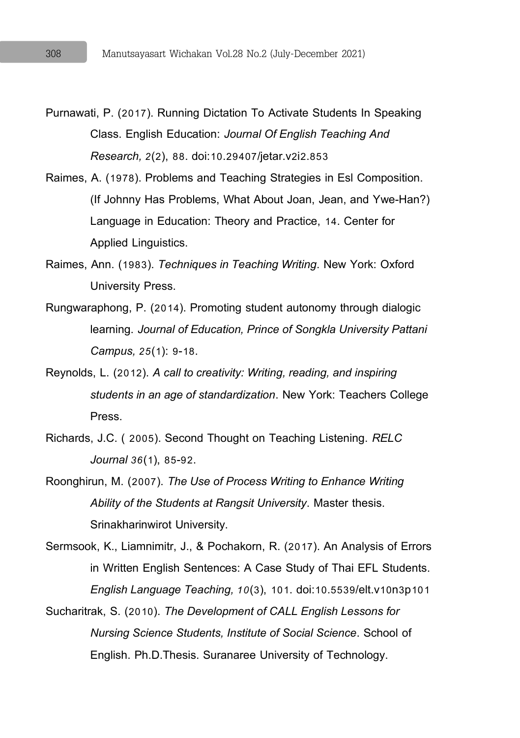- Purnawati, P. (2017). Running Dictation To Activate Students In Speaking Class. English Education: *Journal Of English Teaching And Research, 2*(2), 88. doi:10.29407/jetar.v2i2.853
- Raimes, A. (1978). Problems and Teaching Strategies in Esl Composition. (If Johnny Has Problems, What About Joan, Jean, and Ywe-Han?) Language in Education: Theory and Practice, 14. Center for Applied Linguistics.
- Raimes, Ann. (1983). *Techniques in Teaching Writing*. New York: Oxford University Press.
- Rungwaraphong, P. (2014). Promoting student autonomy through dialogic learning. *Journal of Education, Prince of Songkla University Pattani Campus, 25*(1): 9-18.
- Reynolds, L. (2012). *A call to creativity: Writing, reading, and inspiring students in an age of standardization*. New York: Teachers College Press.
- Richards, J.C. ( 2005). Second Thought on Teaching Listening. *RELC Journal 36*(1), 85-92.
- Roonghirun, M. (2007). *The Use of Process Writing to Enhance Writing Ability of the Students at Rangsit University*. Master thesis. Srinakharinwirot University.
- Sermsook, K., Liamnimitr, J., & Pochakorn, R. (2017). An Analysis of Errors in Written English Sentences: A Case Study of Thai EFL Students. *English Language Teaching, 10*(3), 101. doi:10.5539/elt.v10n3p101
- Sucharitrak, S. (2010). *The Development of CALL English Lessons for Nursing Science Students, Institute of Social Science*. School of English. Ph.D.Thesis. Suranaree University of Technology.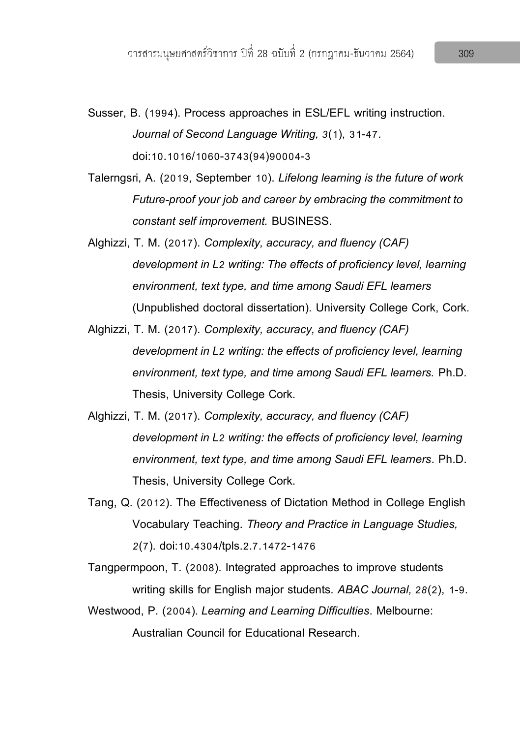- Susser, B. (1994). Process approaches in ESL/EFL writing instruction. *Journal of Second Language Writing, 3*(1), 31-47. doi:10.1016/1060-3743(94)90004-3
- Talerngsri, A. (2019, September 10). *Lifelong learning is the future of work Future-proof your job and career by embracing the commitment to constant self improvement.* BUSINESS.
- Alghizzi, T. M. (2017). *Complexity, accuracy, and fluency (CAF) development in L2 writing: The effects of proficiency level, learning environment, text type, and time among Saudi EFL learners* (Unpublished doctoral dissertation). University College Cork, Cork.
- Alghizzi, T. M. (2017). *Complexity, accuracy, and fluency (CAF) development in L2 writing: the effects of proficiency level, learning environment, text type, and time among Saudi EFL learners.* Ph.D. Thesis, University College Cork.
- Alghizzi, T. M. (2017). *Complexity, accuracy, and fluency (CAF) development in L2 writing: the effects of proficiency level, learning environment, text type, and time among Saudi EFL learners*. Ph.D. Thesis, University College Cork.
- Tang, Q. (2012). The Effectiveness of Dictation Method in College English Vocabulary Teaching. *Theory and Practice in Language Studies, 2*(7). doi:10.4304/tpls.2.7.1472-1476
- Tangpermpoon, T. (2008). Integrated approaches to improve students writing skills for English major students. *ABAC Journal, 28*(2), 1-9.
- Westwood, P. (2004).*Learning and Learning Difficulties*. Melbourne: Australian Council for Educational Research.